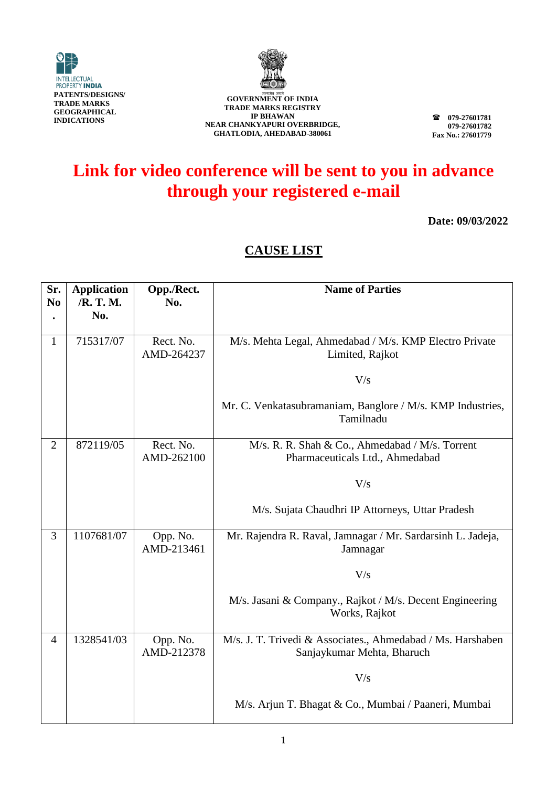



**079-27601781 079-27601782 Fax No.: 27601779**

# **Link for video conference will be sent to you in advance through your registered e-mail**

**Date: 09/03/2022**

| Sr.<br>N <sub>0</sub> | <b>Application</b><br>/R. T. M. | Opp./Rect.<br>No.       | <b>Name of Parties</b>                                                                    |
|-----------------------|---------------------------------|-------------------------|-------------------------------------------------------------------------------------------|
|                       | No.                             |                         |                                                                                           |
| $\mathbf 1$           | 715317/07                       | Rect. No.<br>AMD-264237 | M/s. Mehta Legal, Ahmedabad / M/s. KMP Electro Private<br>Limited, Rajkot                 |
|                       |                                 |                         | V/s                                                                                       |
|                       |                                 |                         | Mr. C. Venkatasubramaniam, Banglore / M/s. KMP Industries,<br>Tamilnadu                   |
| $\overline{2}$        | 872119/05                       | Rect. No.<br>AMD-262100 | M/s. R. R. Shah & Co., Ahmedabad / M/s. Torrent<br>Pharmaceuticals Ltd., Ahmedabad        |
|                       |                                 |                         | V/s                                                                                       |
|                       |                                 |                         | M/s. Sujata Chaudhri IP Attorneys, Uttar Pradesh                                          |
| 3                     | 1107681/07                      | Opp. No.<br>AMD-213461  | Mr. Rajendra R. Raval, Jamnagar / Mr. Sardarsinh L. Jadeja,<br>Jamnagar                   |
|                       |                                 |                         | V/s                                                                                       |
|                       |                                 |                         | M/s. Jasani & Company., Rajkot / M/s. Decent Engineering<br>Works, Rajkot                 |
| $\overline{4}$        | 1328541/03                      | Opp. No.<br>AMD-212378  | M/s. J. T. Trivedi & Associates., Ahmedabad / Ms. Harshaben<br>Sanjaykumar Mehta, Bharuch |
|                       |                                 |                         | V/s                                                                                       |
|                       |                                 |                         | M/s. Arjun T. Bhagat & Co., Mumbai / Paaneri, Mumbai                                      |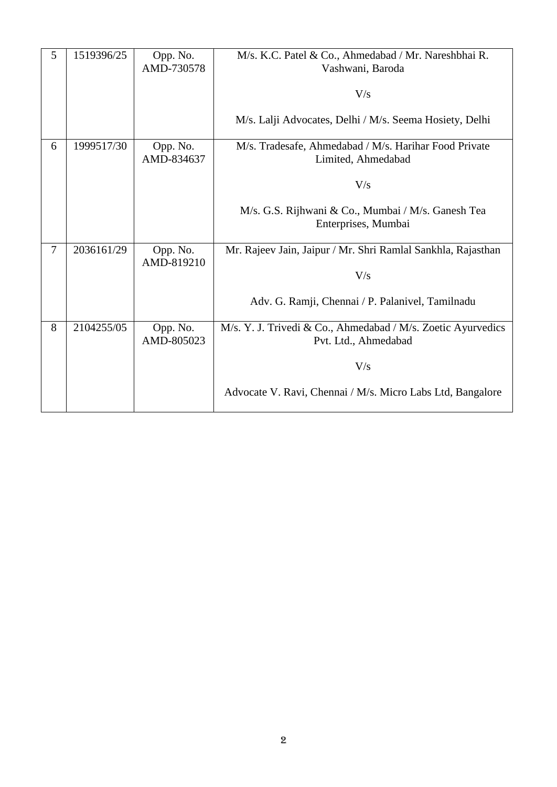| 5 | 1519396/25 | Opp. No.<br>AMD-730578 | M/s. K.C. Patel & Co., Ahmedabad / Mr. Nareshbhai R.<br>Vashwani, Baroda             |
|---|------------|------------------------|--------------------------------------------------------------------------------------|
|   |            |                        | V/s                                                                                  |
|   |            |                        | M/s. Lalji Advocates, Delhi / M/s. Seema Hosiety, Delhi                              |
| 6 | 1999517/30 | Opp. No.<br>AMD-834637 | M/s. Tradesafe, Ahmedabad / M/s. Harihar Food Private<br>Limited, Ahmedabad          |
|   |            |                        | V/s                                                                                  |
|   |            |                        | M/s. G.S. Rijhwani & Co., Mumbai / M/s. Ganesh Tea<br>Enterprises, Mumbai            |
| 7 | 2036161/29 | Opp. No.<br>AMD-819210 | Mr. Rajeev Jain, Jaipur / Mr. Shri Ramlal Sankhla, Rajasthan                         |
|   |            |                        | V/s                                                                                  |
|   |            |                        | Adv. G. Ramji, Chennai / P. Palanivel, Tamilnadu                                     |
| 8 | 2104255/05 | Opp. No.<br>AMD-805023 | M/s. Y. J. Trivedi & Co., Ahmedabad / M/s. Zoetic Ayurvedics<br>Pvt. Ltd., Ahmedabad |
|   |            |                        | V/s                                                                                  |
|   |            |                        | Advocate V. Ravi, Chennai / M/s. Micro Labs Ltd, Bangalore                           |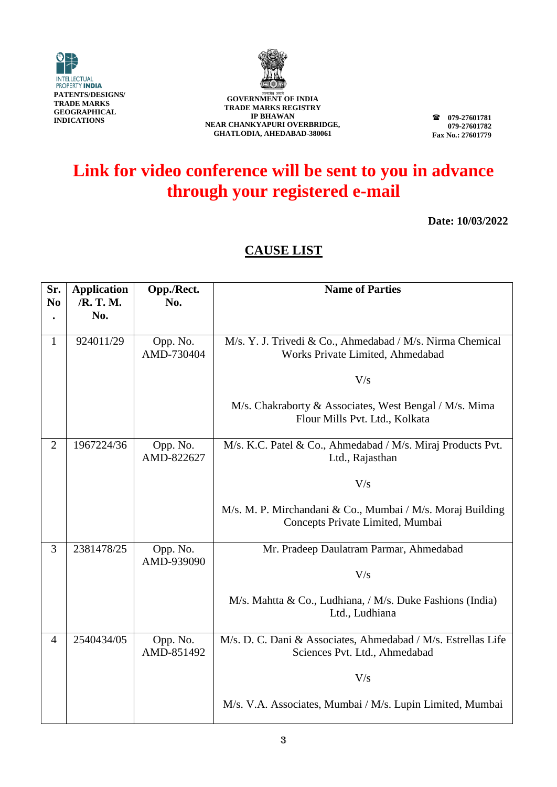



**079-27601781 079-27601782 Fax No.: 27601779**

# **Link for video conference will be sent to you in advance through your registered e-mail**

**Date: 10/03/2022**

| Sr.<br>N <sub>0</sub> | <b>Application</b><br>/R. T. M. | Opp./Rect.<br>No.      | <b>Name of Parties</b>                                                                         |
|-----------------------|---------------------------------|------------------------|------------------------------------------------------------------------------------------------|
|                       | No.                             |                        |                                                                                                |
| 1                     | 924011/29                       | Opp. No.<br>AMD-730404 | M/s. Y. J. Trivedi & Co., Ahmedabad / M/s. Nirma Chemical<br>Works Private Limited, Ahmedabad  |
|                       |                                 |                        | V/s                                                                                            |
|                       |                                 |                        | M/s. Chakraborty & Associates, West Bengal / M/s. Mima<br>Flour Mills Pvt. Ltd., Kolkata       |
| $\overline{2}$        | 1967224/36                      | Opp. No.<br>AMD-822627 | M/s. K.C. Patel & Co., Ahmedabad / M/s. Miraj Products Pvt.<br>Ltd., Rajasthan                 |
|                       |                                 |                        | V/s                                                                                            |
|                       |                                 |                        | M/s. M. P. Mirchandani & Co., Mumbai / M/s. Moraj Building<br>Concepts Private Limited, Mumbai |
| $\overline{3}$        | 2381478/25                      | Opp. No.<br>AMD-939090 | Mr. Pradeep Daulatram Parmar, Ahmedabad                                                        |
|                       |                                 |                        | V/s                                                                                            |
|                       |                                 |                        | M/s. Mahtta & Co., Ludhiana, / M/s. Duke Fashions (India)<br>Ltd., Ludhiana                    |
| $\overline{4}$        | 2540434/05                      | Opp. No.<br>AMD-851492 | M/s. D. C. Dani & Associates, Ahmedabad / M/s. Estrellas Life<br>Sciences Pvt. Ltd., Ahmedabad |
|                       |                                 |                        | V/s                                                                                            |
|                       |                                 |                        | M/s. V.A. Associates, Mumbai / M/s. Lupin Limited, Mumbai                                      |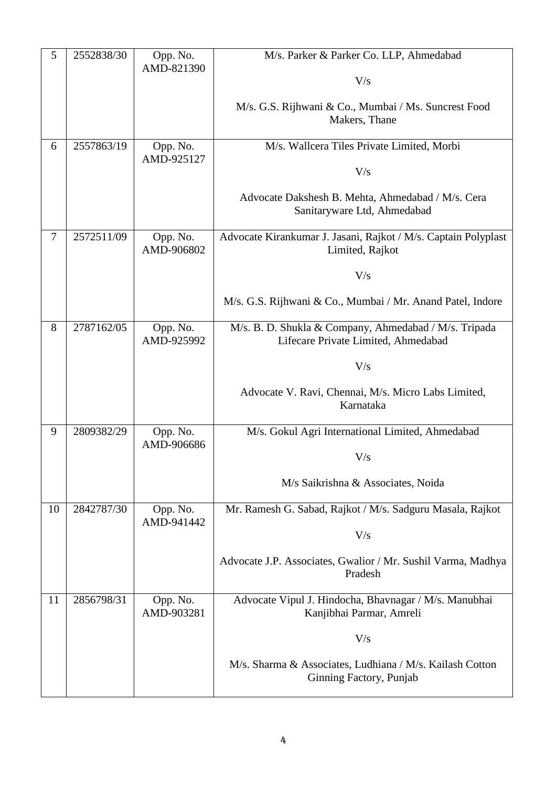| 5  | 2552838/30 | Opp. No.               | M/s. Parker & Parker Co. LLP, Ahmedabad                                                      |
|----|------------|------------------------|----------------------------------------------------------------------------------------------|
|    |            | AMD-821390             | V/s                                                                                          |
|    |            |                        |                                                                                              |
|    |            |                        | M/s. G.S. Rijhwani & Co., Mumbai / Ms. Suncrest Food<br>Makers, Thane                        |
| 6  | 2557863/19 | Opp. No.<br>AMD-925127 | M/s. Wallcera Tiles Private Limited, Morbi                                                   |
|    |            |                        | V/s                                                                                          |
|    |            |                        | Advocate Dakshesh B. Mehta, Ahmedabad / M/s. Cera<br>Sanitaryware Ltd, Ahmedabad             |
| 7  | 2572511/09 | Opp. No.<br>AMD-906802 | Advocate Kirankumar J. Jasani, Rajkot / M/s. Captain Polyplast<br>Limited, Rajkot            |
|    |            |                        | V/s                                                                                          |
|    |            |                        | M/s. G.S. Rijhwani & Co., Mumbai / Mr. Anand Patel, Indore                                   |
| 8  | 2787162/05 | Opp. No.<br>AMD-925992 | M/s. B. D. Shukla & Company, Ahmedabad / M/s. Tripada<br>Lifecare Private Limited, Ahmedabad |
|    |            |                        | V/s                                                                                          |
|    |            |                        | Advocate V. Ravi, Chennai, M/s. Micro Labs Limited,<br>Karnataka                             |
| 9  | 2809382/29 | Opp. No.<br>AMD-906686 | M/s. Gokul Agri International Limited, Ahmedabad                                             |
|    |            |                        | V/s                                                                                          |
|    |            |                        | M/s Saikrishna & Associates, Noida                                                           |
| 10 | 2842787/30 | Opp. No.<br>AMD-941442 | Mr. Ramesh G. Sabad, Rajkot / M/s. Sadguru Masala, Rajkot                                    |
|    |            |                        | V/s                                                                                          |
|    |            |                        | Advocate J.P. Associates, Gwalior / Mr. Sushil Varma, Madhya<br>Pradesh                      |
| 11 | 2856798/31 | Opp. No.<br>AMD-903281 | Advocate Vipul J. Hindocha, Bhavnagar / M/s. Manubhai<br>Kanjibhai Parmar, Amreli            |
|    |            |                        | V/s                                                                                          |
|    |            |                        | M/s. Sharma & Associates, Ludhiana / M/s. Kailash Cotton<br>Ginning Factory, Punjab          |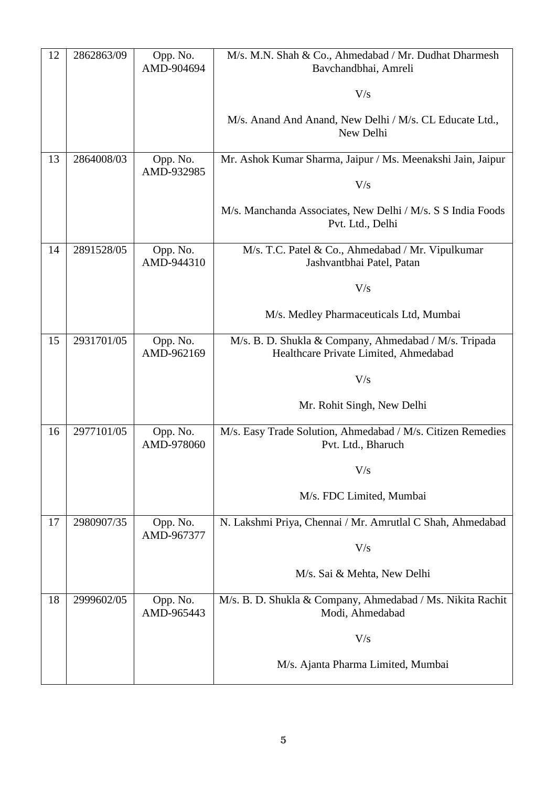| 12 | 2862863/09 | Opp. No.<br>AMD-904694 | M/s. M.N. Shah & Co., Ahmedabad / Mr. Dudhat Dharmesh<br>Bavchandbhai, Amreli                  |
|----|------------|------------------------|------------------------------------------------------------------------------------------------|
|    |            |                        | V/s                                                                                            |
|    |            |                        |                                                                                                |
|    |            |                        | M/s. Anand And Anand, New Delhi / M/s. CL Educate Ltd.,<br>New Delhi                           |
| 13 | 2864008/03 | Opp. No.<br>AMD-932985 | Mr. Ashok Kumar Sharma, Jaipur / Ms. Meenakshi Jain, Jaipur                                    |
|    |            |                        | V/s                                                                                            |
|    |            |                        | M/s. Manchanda Associates, New Delhi / M/s. S S India Foods<br>Pvt. Ltd., Delhi                |
| 14 | 2891528/05 | Opp. No.<br>AMD-944310 | M/s. T.C. Patel & Co., Ahmedabad / Mr. Vipulkumar<br>Jashvantbhai Patel, Patan                 |
|    |            |                        | V/s                                                                                            |
|    |            |                        | M/s. Medley Pharmaceuticals Ltd, Mumbai                                                        |
| 15 | 2931701/05 | Opp. No.<br>AMD-962169 | M/s. B. D. Shukla & Company, Ahmedabad / M/s. Tripada<br>Healthcare Private Limited, Ahmedabad |
|    |            |                        | V/s                                                                                            |
|    |            |                        | Mr. Rohit Singh, New Delhi                                                                     |
| 16 | 2977101/05 | Opp. No.<br>AMD-978060 | M/s. Easy Trade Solution, Ahmedabad / M/s. Citizen Remedies<br>Pvt. Ltd., Bharuch              |
|    |            |                        | V/s                                                                                            |
|    |            |                        | M/s. FDC Limited, Mumbai                                                                       |
| 17 | 2980907/35 | Opp. No.<br>AMD-967377 | N. Lakshmi Priya, Chennai / Mr. Amrutlal C Shah, Ahmedabad                                     |
|    |            |                        | V/s                                                                                            |
|    |            |                        | M/s. Sai & Mehta, New Delhi                                                                    |
| 18 | 2999602/05 | Opp. No.<br>AMD-965443 | M/s. B. D. Shukla & Company, Ahmedabad / Ms. Nikita Rachit<br>Modi, Ahmedabad                  |
|    |            |                        | V/s                                                                                            |
|    |            |                        | M/s. Ajanta Pharma Limited, Mumbai                                                             |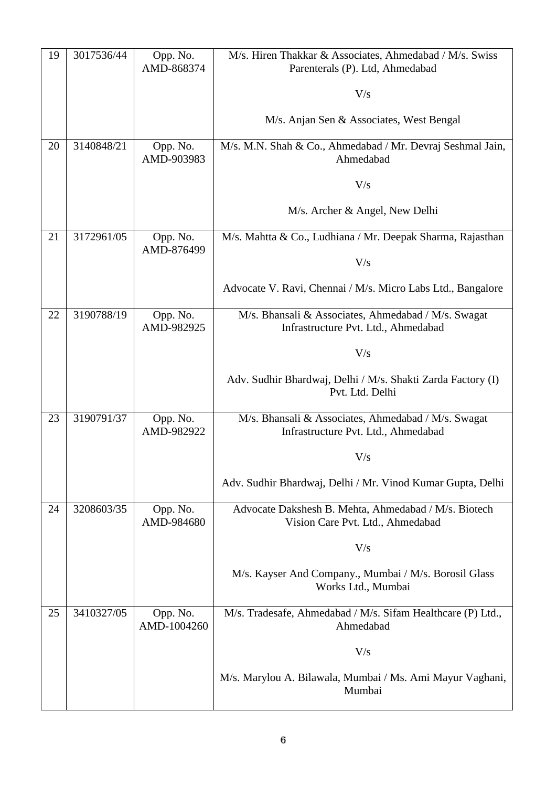| 19 | 3017536/44 | Opp. No.                | M/s. Hiren Thakkar & Associates, Ahmedabad / M/s. Swiss                                    |
|----|------------|-------------------------|--------------------------------------------------------------------------------------------|
|    |            | AMD-868374              | Parenterals (P). Ltd, Ahmedabad                                                            |
|    |            |                         | V/s                                                                                        |
|    |            |                         | M/s. Anjan Sen & Associates, West Bengal                                                   |
| 20 | 3140848/21 | Opp. No.<br>AMD-903983  | M/s. M.N. Shah & Co., Ahmedabad / Mr. Devraj Seshmal Jain,<br>Ahmedabad                    |
|    |            |                         | V/s                                                                                        |
|    |            |                         | M/s. Archer & Angel, New Delhi                                                             |
| 21 | 3172961/05 | Opp. No.<br>AMD-876499  | M/s. Mahtta & Co., Ludhiana / Mr. Deepak Sharma, Rajasthan                                 |
|    |            |                         | V/s                                                                                        |
|    |            |                         | Advocate V. Ravi, Chennai / M/s. Micro Labs Ltd., Bangalore                                |
| 22 | 3190788/19 | Opp. No.<br>AMD-982925  | M/s. Bhansali & Associates, Ahmedabad / M/s. Swagat<br>Infrastructure Pvt. Ltd., Ahmedabad |
|    |            |                         | V/s                                                                                        |
|    |            |                         | Adv. Sudhir Bhardwaj, Delhi / M/s. Shakti Zarda Factory (I)<br>Pvt. Ltd. Delhi             |
| 23 | 3190791/37 | Opp. No.                | M/s. Bhansali & Associates, Ahmedabad / M/s. Swagat                                        |
|    |            | AMD-982922              | Infrastructure Pvt. Ltd., Ahmedabad                                                        |
|    |            |                         | V/s                                                                                        |
|    |            |                         | Adv. Sudhir Bhardwaj, Delhi / Mr. Vinod Kumar Gupta, Delhi                                 |
| 24 | 3208603/35 | Opp. No.<br>AMD-984680  | Advocate Dakshesh B. Mehta, Ahmedabad / M/s. Biotech<br>Vision Care Pvt. Ltd., Ahmedabad   |
|    |            |                         | V/s                                                                                        |
|    |            |                         | M/s. Kayser And Company., Mumbai / M/s. Borosil Glass<br>Works Ltd., Mumbai                |
| 25 | 3410327/05 | Opp. No.<br>AMD-1004260 | M/s. Tradesafe, Ahmedabad / M/s. Sifam Healthcare (P) Ltd.,<br>Ahmedabad                   |
|    |            |                         | V/s                                                                                        |
|    |            |                         | M/s. Marylou A. Bilawala, Mumbai / Ms. Ami Mayur Vaghani,<br>Mumbai                        |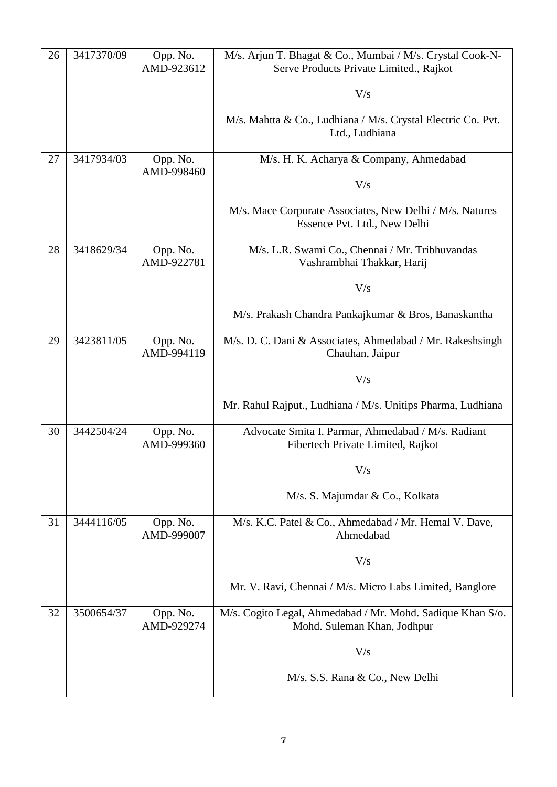| 26 | 3417370/09 | Opp. No.<br>AMD-923612 | M/s. Arjun T. Bhagat & Co., Mumbai / M/s. Crystal Cook-N-<br>Serve Products Private Limited., Rajkot |
|----|------------|------------------------|------------------------------------------------------------------------------------------------------|
|    |            |                        | V/s                                                                                                  |
|    |            |                        | M/s. Mahtta & Co., Ludhiana / M/s. Crystal Electric Co. Pvt.<br>Ltd., Ludhiana                       |
| 27 | 3417934/03 | Opp. No.               | M/s. H. K. Acharya & Company, Ahmedabad                                                              |
|    |            | AMD-998460             | V/s                                                                                                  |
|    |            |                        | M/s. Mace Corporate Associates, New Delhi / M/s. Natures<br>Essence Pvt. Ltd., New Delhi             |
| 28 | 3418629/34 | Opp. No.<br>AMD-922781 | M/s. L.R. Swami Co., Chennai / Mr. Tribhuvandas<br>Vashrambhai Thakkar, Harij                        |
|    |            |                        | V/s                                                                                                  |
|    |            |                        | M/s. Prakash Chandra Pankajkumar & Bros, Banaskantha                                                 |
| 29 | 3423811/05 | Opp. No.<br>AMD-994119 | M/s. D. C. Dani & Associates, Ahmedabad / Mr. Rakeshsingh<br>Chauhan, Jaipur                         |
|    |            |                        | V/s                                                                                                  |
|    |            |                        | Mr. Rahul Rajput., Ludhiana / M/s. Unitips Pharma, Ludhiana                                          |
| 30 | 3442504/24 | Opp. No.<br>AMD-999360 | Advocate Smita I. Parmar, Ahmedabad / M/s. Radiant<br>Fibertech Private Limited, Rajkot              |
|    |            |                        | V/s                                                                                                  |
|    |            |                        | M/s. S. Majumdar & Co., Kolkata                                                                      |
| 31 | 3444116/05 | Opp. No.<br>AMD-999007 | M/s. K.C. Patel & Co., Ahmedabad / Mr. Hemal V. Dave,<br>Ahmedabad                                   |
|    |            |                        | V/s                                                                                                  |
|    |            |                        | Mr. V. Ravi, Chennai / M/s. Micro Labs Limited, Banglore                                             |
| 32 | 3500654/37 | Opp. No.<br>AMD-929274 | M/s. Cogito Legal, Ahmedabad / Mr. Mohd. Sadique Khan S/o.<br>Mohd. Suleman Khan, Jodhpur            |
|    |            |                        | V/s                                                                                                  |
|    |            |                        | M/s. S.S. Rana & Co., New Delhi                                                                      |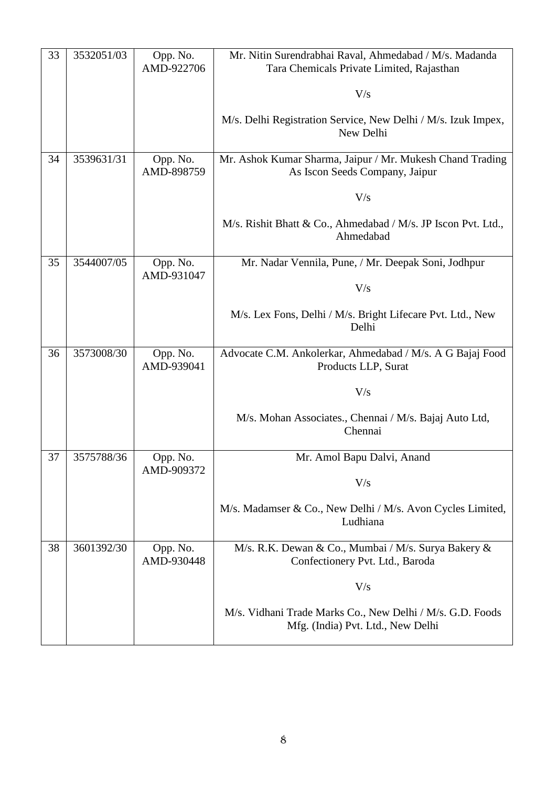| 33 | 3532051/03 | Opp. No.<br>AMD-922706 | Mr. Nitin Surendrabhai Raval, Ahmedabad / M/s. Madanda<br>Tara Chemicals Private Limited, Rajasthan |
|----|------------|------------------------|-----------------------------------------------------------------------------------------------------|
|    |            |                        | V/s                                                                                                 |
|    |            |                        | M/s. Delhi Registration Service, New Delhi / M/s. Izuk Impex,<br>New Delhi                          |
| 34 | 3539631/31 | Opp. No.<br>AMD-898759 | Mr. Ashok Kumar Sharma, Jaipur / Mr. Mukesh Chand Trading<br>As Iscon Seeds Company, Jaipur         |
|    |            |                        | V/s                                                                                                 |
|    |            |                        | M/s. Rishit Bhatt & Co., Ahmedabad / M/s. JP Iscon Pvt. Ltd.,<br>Ahmedabad                          |
| 35 | 3544007/05 | Opp. No.<br>AMD-931047 | Mr. Nadar Vennila, Pune, / Mr. Deepak Soni, Jodhpur                                                 |
|    |            |                        | V/s                                                                                                 |
|    |            |                        | M/s. Lex Fons, Delhi / M/s. Bright Lifecare Pvt. Ltd., New<br>Delhi                                 |
| 36 | 3573008/30 | Opp. No.<br>AMD-939041 | Advocate C.M. Ankolerkar, Ahmedabad / M/s. A G Bajaj Food<br>Products LLP, Surat                    |
|    |            |                        | V/s                                                                                                 |
|    |            |                        | M/s. Mohan Associates., Chennai / M/s. Bajaj Auto Ltd,<br>Chennai                                   |
| 37 | 3575788/36 | Opp. No.<br>AMD-909372 | Mr. Amol Bapu Dalvi, Anand                                                                          |
|    |            |                        | V/s                                                                                                 |
|    |            |                        | M/s. Madamser & Co., New Delhi / M/s. Avon Cycles Limited,<br>Ludhiana                              |
| 38 | 3601392/30 | Opp. No.<br>AMD-930448 | M/s. R.K. Dewan & Co., Mumbai / M/s. Surya Bakery &<br>Confectionery Pvt. Ltd., Baroda              |
|    |            |                        | V/s                                                                                                 |
|    |            |                        | M/s. Vidhani Trade Marks Co., New Delhi / M/s. G.D. Foods<br>Mfg. (India) Pvt. Ltd., New Delhi      |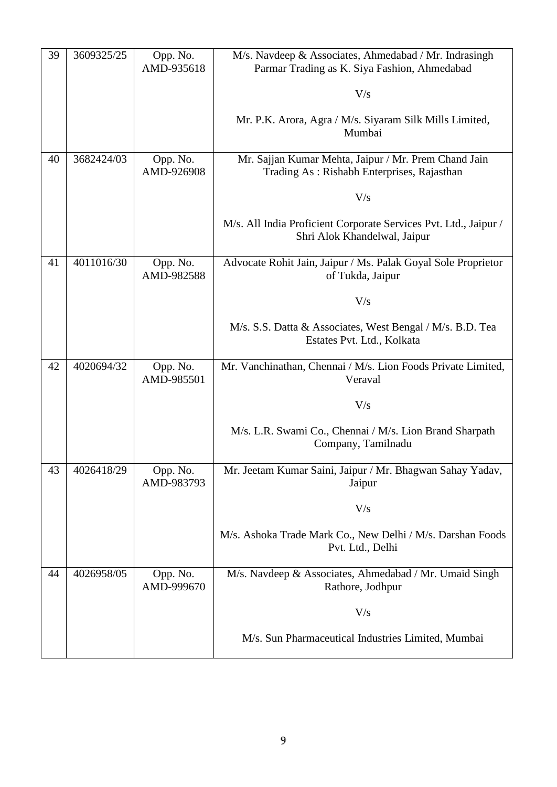| 39 | 3609325/25 | Opp. No.<br>AMD-935618 | M/s. Navdeep & Associates, Ahmedabad / Mr. Indrasingh<br>Parmar Trading as K. Siya Fashion, Ahmedabad |
|----|------------|------------------------|-------------------------------------------------------------------------------------------------------|
|    |            |                        | V/s                                                                                                   |
|    |            |                        | Mr. P.K. Arora, Agra / M/s. Siyaram Silk Mills Limited,<br>Mumbai                                     |
| 40 | 3682424/03 | Opp. No.<br>AMD-926908 | Mr. Sajjan Kumar Mehta, Jaipur / Mr. Prem Chand Jain<br>Trading As: Rishabh Enterprises, Rajasthan    |
|    |            |                        | V/s                                                                                                   |
|    |            |                        | M/s. All India Proficient Corporate Services Pvt. Ltd., Jaipur /<br>Shri Alok Khandelwal, Jaipur      |
| 41 | 4011016/30 | Opp. No.<br>AMD-982588 | Advocate Rohit Jain, Jaipur / Ms. Palak Goyal Sole Proprietor<br>of Tukda, Jaipur                     |
|    |            |                        | V/s                                                                                                   |
|    |            |                        | M/s. S.S. Datta & Associates, West Bengal / M/s. B.D. Tea<br>Estates Pvt. Ltd., Kolkata               |
| 42 | 4020694/32 | Opp. No.<br>AMD-985501 | Mr. Vanchinathan, Chennai / M/s. Lion Foods Private Limited,<br>Veraval                               |
|    |            |                        | V/s                                                                                                   |
|    |            |                        | M/s. L.R. Swami Co., Chennai / M/s. Lion Brand Sharpath<br>Company, Tamilnadu                         |
| 43 | 4026418/29 | Opp. No.<br>AMD-983793 | Mr. Jeetam Kumar Saini, Jaipur / Mr. Bhagwan Sahay Yadav,<br>Jaipur                                   |
|    |            |                        | V/s                                                                                                   |
|    |            |                        | M/s. Ashoka Trade Mark Co., New Delhi / M/s. Darshan Foods<br>Pvt. Ltd., Delhi                        |
| 44 | 4026958/05 | Opp. No.<br>AMD-999670 | M/s. Navdeep & Associates, Ahmedabad / Mr. Umaid Singh<br>Rathore, Jodhpur                            |
|    |            |                        | V/s                                                                                                   |
|    |            |                        | M/s. Sun Pharmaceutical Industries Limited, Mumbai                                                    |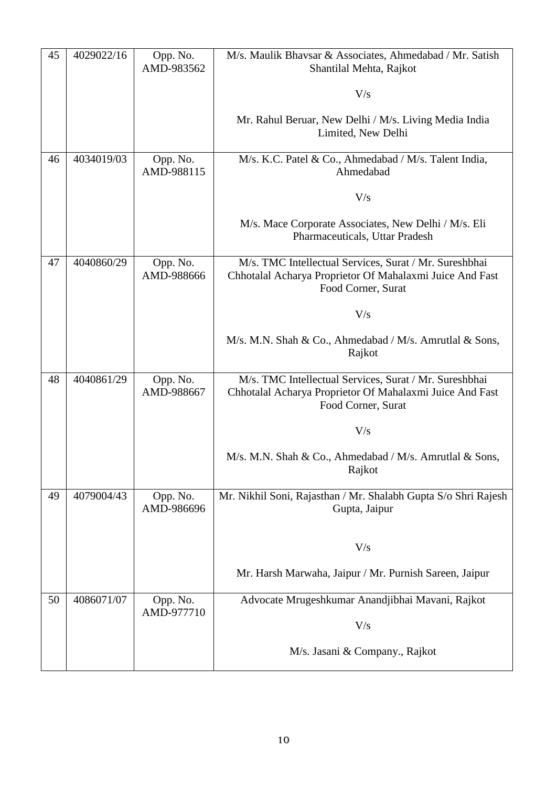| 45 | 4029022/16 | Opp. No.<br>AMD-983562 | M/s. Maulik Bhavsar & Associates, Ahmedabad / Mr. Satish<br>Shantilal Mehta, Rajkot                                                      |
|----|------------|------------------------|------------------------------------------------------------------------------------------------------------------------------------------|
|    |            |                        | V/s                                                                                                                                      |
|    |            |                        | Mr. Rahul Beruar, New Delhi / M/s. Living Media India<br>Limited, New Delhi                                                              |
| 46 | 4034019/03 | Opp. No.<br>AMD-988115 | M/s. K.C. Patel & Co., Ahmedabad / M/s. Talent India,<br>Ahmedabad                                                                       |
|    |            |                        | V/s                                                                                                                                      |
|    |            |                        | M/s. Mace Corporate Associates, New Delhi / M/s. Eli<br>Pharmaceuticals, Uttar Pradesh                                                   |
| 47 | 4040860/29 | Opp. No.<br>AMD-988666 | M/s. TMC Intellectual Services, Surat / Mr. Sureshbhai<br>Chhotalal Acharya Proprietor Of Mahalaxmi Juice And Fast<br>Food Corner, Surat |
|    |            |                        | V/s                                                                                                                                      |
|    |            |                        | M/s. M.N. Shah & Co., Ahmedabad / M/s. Amrutlal & Sons,<br>Rajkot                                                                        |
| 48 | 4040861/29 | Opp. No.<br>AMD-988667 | M/s. TMC Intellectual Services, Surat / Mr. Sureshbhai<br>Chhotalal Acharya Proprietor Of Mahalaxmi Juice And Fast<br>Food Corner, Surat |
|    |            |                        | V/s                                                                                                                                      |
|    |            |                        | M/s. M.N. Shah & Co., Ahmedabad / M/s. Amrutlal & Sons,<br>Rajkot                                                                        |
| 49 | 4079004/43 | Opp. No.<br>AMD-986696 | Mr. Nikhil Soni, Rajasthan / Mr. Shalabh Gupta S/o Shri Rajesh<br>Gupta, Jaipur                                                          |
|    |            |                        | V/s                                                                                                                                      |
|    |            |                        | Mr. Harsh Marwaha, Jaipur / Mr. Purnish Sareen, Jaipur                                                                                   |
| 50 | 4086071/07 | Opp. No.<br>AMD-977710 | Advocate Mrugeshkumar Anandjibhai Mavani, Rajkot                                                                                         |
|    |            |                        | V/s                                                                                                                                      |
|    |            |                        | M/s. Jasani & Company., Rajkot                                                                                                           |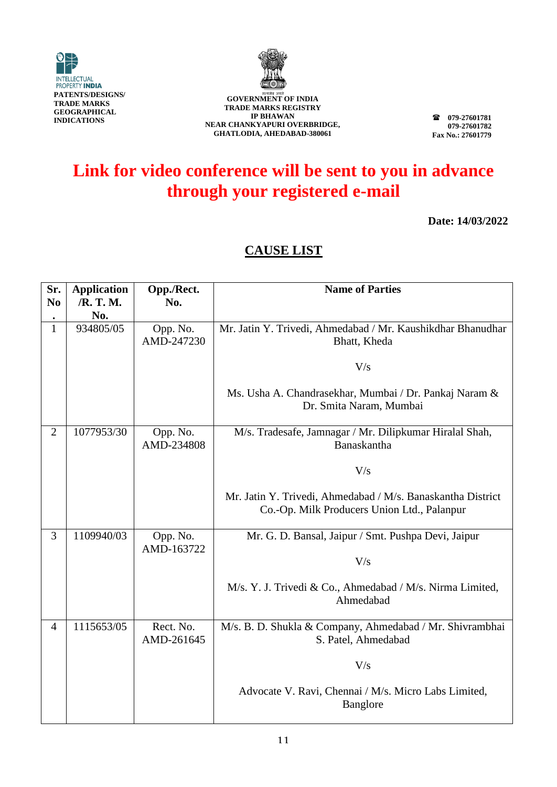



**079-27601781 079-27601782 Fax No.: 27601779**

# **Link for video conference will be sent to you in advance through your registered e-mail**

**Date: 14/03/2022**

| Sr.<br>N <sub>0</sub> | <b>Application</b><br>/R. T. M.<br>No. | Opp./Rect.<br>No.       | <b>Name of Parties</b>                                                                                     |
|-----------------------|----------------------------------------|-------------------------|------------------------------------------------------------------------------------------------------------|
| $\mathbf{1}$          | 934805/05                              | Opp. No.<br>AMD-247230  | Mr. Jatin Y. Trivedi, Ahmedabad / Mr. Kaushikdhar Bhanudhar<br>Bhatt, Kheda                                |
|                       |                                        |                         | V/s                                                                                                        |
|                       |                                        |                         | Ms. Usha A. Chandrasekhar, Mumbai / Dr. Pankaj Naram &<br>Dr. Smita Naram, Mumbai                          |
| $\overline{2}$        | 1077953/30                             | Opp. No.<br>AMD-234808  | M/s. Tradesafe, Jamnagar / Mr. Dilipkumar Hiralal Shah,<br>Banaskantha                                     |
|                       |                                        |                         | V/s                                                                                                        |
|                       |                                        |                         | Mr. Jatin Y. Trivedi, Ahmedabad / M/s. Banaskantha District<br>Co.-Op. Milk Producers Union Ltd., Palanpur |
| 3                     | 1109940/03                             | Opp. No.<br>AMD-163722  | Mr. G. D. Bansal, Jaipur / Smt. Pushpa Devi, Jaipur                                                        |
|                       |                                        |                         | V/s                                                                                                        |
|                       |                                        |                         | M/s. Y. J. Trivedi & Co., Ahmedabad / M/s. Nirma Limited,<br>Ahmedabad                                     |
| $\overline{4}$        | 1115653/05                             | Rect. No.<br>AMD-261645 | M/s. B. D. Shukla & Company, Ahmedabad / Mr. Shivrambhai<br>S. Patel, Ahmedabad                            |
|                       |                                        |                         | V/s                                                                                                        |
|                       |                                        |                         | Advocate V. Ravi, Chennai / M/s. Micro Labs Limited,<br><b>Banglore</b>                                    |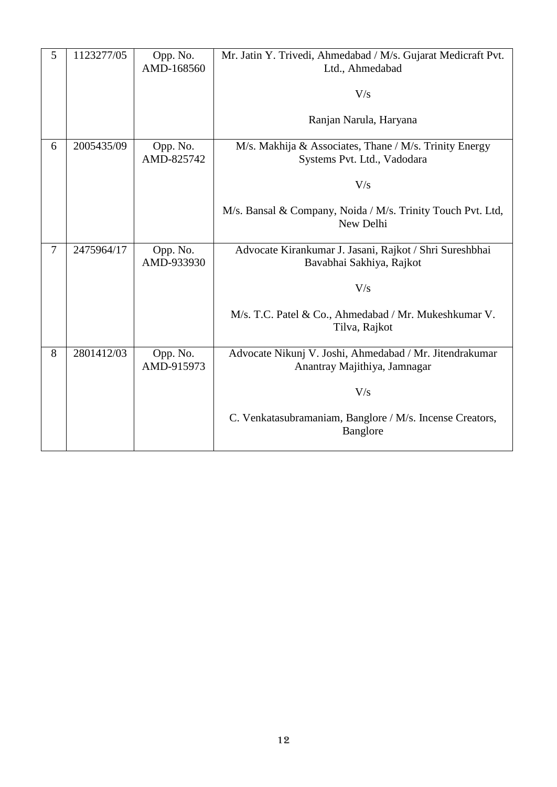| 5              | 1123277/05 | Opp. No.<br>AMD-168560 | Mr. Jatin Y. Trivedi, Ahmedabad / M/s. Gujarat Medicraft Pvt.<br>Ltd., Ahmedabad<br>V/s |
|----------------|------------|------------------------|-----------------------------------------------------------------------------------------|
|                |            |                        | Ranjan Narula, Haryana                                                                  |
| 6              | 2005435/09 | Opp. No.<br>AMD-825742 | M/s. Makhija & Associates, Thane / M/s. Trinity Energy<br>Systems Pvt. Ltd., Vadodara   |
|                |            |                        | V/s                                                                                     |
|                |            |                        | M/s. Bansal & Company, Noida / M/s. Trinity Touch Pvt. Ltd,<br>New Delhi                |
| $\overline{7}$ | 2475964/17 | Opp. No.<br>AMD-933930 | Advocate Kirankumar J. Jasani, Rajkot / Shri Sureshbhai<br>Bavabhai Sakhiya, Rajkot     |
|                |            |                        | V/s                                                                                     |
|                |            |                        | M/s. T.C. Patel & Co., Ahmedabad / Mr. Mukeshkumar V.<br>Tilva, Rajkot                  |
| 8              | 2801412/03 | Opp. No.<br>AMD-915973 | Advocate Nikunj V. Joshi, Ahmedabad / Mr. Jitendrakumar<br>Anantray Majithiya, Jamnagar |
|                |            |                        | V/s                                                                                     |
|                |            |                        | C. Venkatasubramaniam, Banglore / M/s. Incense Creators,<br><b>Banglore</b>             |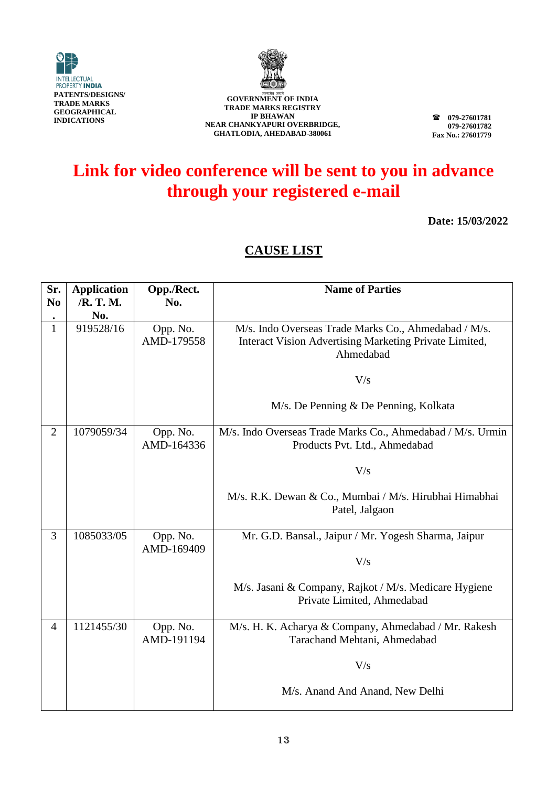



**079-27601781 079-27601782 Fax No.: 27601779**

# **Link for video conference will be sent to you in advance through your registered e-mail**

**Date: 15/03/2022**

| Sr.<br>N <sub>0</sub> | <b>Application</b><br>/R. T. M. | Opp./Rect.<br>No.      | <b>Name of Parties</b>                                                                                                      |
|-----------------------|---------------------------------|------------------------|-----------------------------------------------------------------------------------------------------------------------------|
| ٠                     | No.                             |                        |                                                                                                                             |
| $\mathbf{1}$          | 919528/16                       | Opp. No.<br>AMD-179558 | M/s. Indo Overseas Trade Marks Co., Ahmedabad / M/s.<br>Interact Vision Advertising Marketing Private Limited,<br>Ahmedabad |
|                       |                                 |                        | V/s                                                                                                                         |
|                       |                                 |                        | M/s. De Penning & De Penning, Kolkata                                                                                       |
| $\overline{2}$        | 1079059/34                      | Opp. No.<br>AMD-164336 | M/s. Indo Overseas Trade Marks Co., Ahmedabad / M/s. Urmin<br>Products Pvt. Ltd., Ahmedabad                                 |
|                       |                                 |                        | V/s                                                                                                                         |
|                       |                                 |                        | M/s. R.K. Dewan & Co., Mumbai / M/s. Hirubhai Himabhai<br>Patel, Jalgaon                                                    |
| 3                     | 1085033/05                      | Opp. No.<br>AMD-169409 | Mr. G.D. Bansal., Jaipur / Mr. Yogesh Sharma, Jaipur                                                                        |
|                       |                                 |                        | V/s                                                                                                                         |
|                       |                                 |                        | M/s. Jasani & Company, Rajkot / M/s. Medicare Hygiene<br>Private Limited, Ahmedabad                                         |
| 4                     | 1121455/30                      | Opp. No.<br>AMD-191194 | M/s. H. K. Acharya & Company, Ahmedabad / Mr. Rakesh<br>Tarachand Mehtani, Ahmedabad                                        |
|                       |                                 |                        | V/s                                                                                                                         |
|                       |                                 |                        | M/s. Anand And Anand, New Delhi                                                                                             |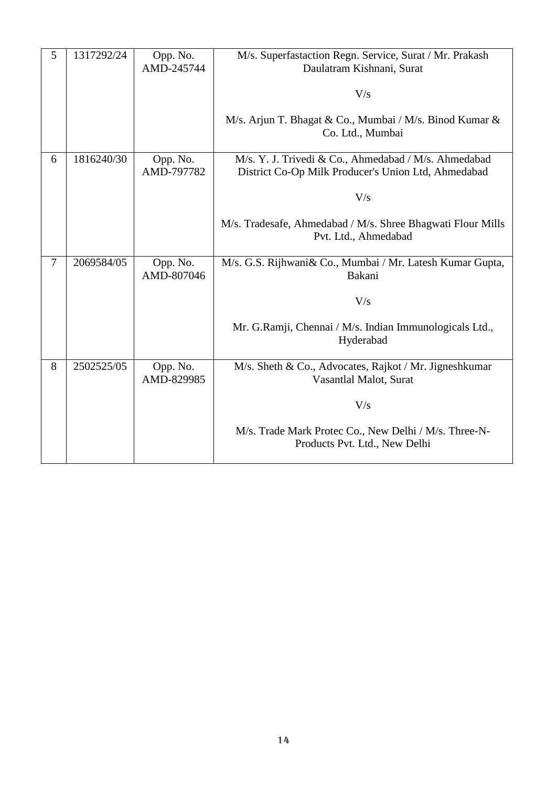| 5              | 1317292/24 | Opp. No.<br>AMD-245744 | M/s. Superfastaction Regn. Service, Surat / Mr. Prakash<br>Daulatram Kishnani, Surat                        |
|----------------|------------|------------------------|-------------------------------------------------------------------------------------------------------------|
|                |            |                        | V/s                                                                                                         |
|                |            |                        | M/s. Arjun T. Bhagat & Co., Mumbai / M/s. Binod Kumar &<br>Co. Ltd., Mumbai                                 |
| 6              | 1816240/30 | Opp. No.<br>AMD-797782 | M/s. Y. J. Trivedi & Co., Ahmedabad / M/s. Ahmedabad<br>District Co-Op Milk Producer's Union Ltd, Ahmedabad |
|                |            |                        | V/s                                                                                                         |
|                |            |                        | M/s. Tradesafe, Ahmedabad / M/s. Shree Bhagwati Flour Mills<br>Pvt. Ltd., Ahmedabad                         |
| $\overline{7}$ | 2069584/05 | Opp. No.<br>AMD-807046 | M/s. G.S. Rijhwani& Co., Mumbai / Mr. Latesh Kumar Gupta,<br>Bakani                                         |
|                |            |                        | V/s                                                                                                         |
|                |            |                        | Mr. G.Ramji, Chennai / M/s. Indian Immunologicals Ltd.,<br>Hyderabad                                        |
| 8              | 2502525/05 | Opp. No.<br>AMD-829985 | M/s. Sheth & Co., Advocates, Rajkot / Mr. Jigneshkumar<br>Vasantlal Malot, Surat                            |
|                |            |                        | V/s                                                                                                         |
|                |            |                        | M/s. Trade Mark Protec Co., New Delhi / M/s. Three-N-<br>Products Pvt. Ltd., New Delhi                      |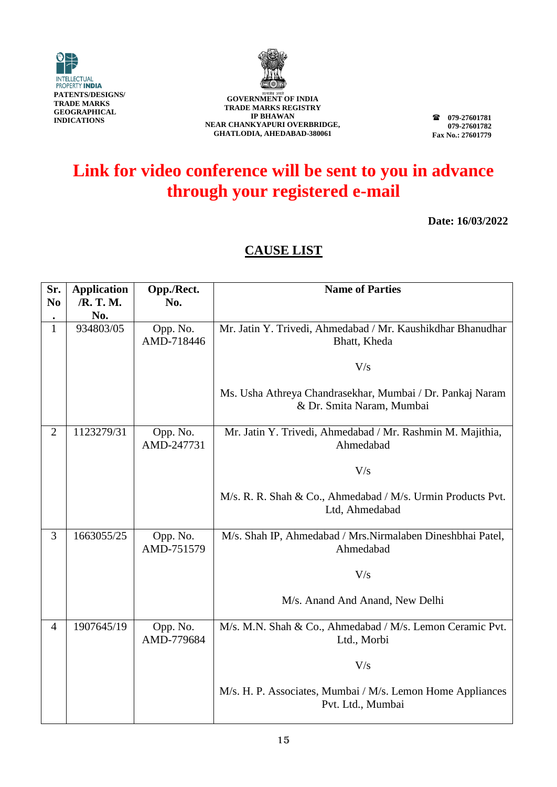



**079-27601781 079-27601782 Fax No.: 27601779**

# **Link for video conference will be sent to you in advance through your registered e-mail**

**Date: 16/03/2022**

| Sr.<br>N <sub>0</sub> | <b>Application</b><br>/R. T. M.<br>No. | Opp./Rect.<br>No.      | <b>Name of Parties</b>                                                                 |
|-----------------------|----------------------------------------|------------------------|----------------------------------------------------------------------------------------|
| $\mathbf{1}$          | 934803/05                              | Opp. No.<br>AMD-718446 | Mr. Jatin Y. Trivedi, Ahmedabad / Mr. Kaushikdhar Bhanudhar<br>Bhatt, Kheda            |
|                       |                                        |                        | V/s                                                                                    |
|                       |                                        |                        | Ms. Usha Athreya Chandrasekhar, Mumbai / Dr. Pankaj Naram<br>& Dr. Smita Naram, Mumbai |
| $\overline{2}$        | 1123279/31                             | Opp. No.<br>AMD-247731 | Mr. Jatin Y. Trivedi, Ahmedabad / Mr. Rashmin M. Majithia,<br>Ahmedabad                |
|                       |                                        |                        | V/s                                                                                    |
|                       |                                        |                        | M/s. R. R. Shah & Co., Ahmedabad / M/s. Urmin Products Pvt.<br>Ltd, Ahmedabad          |
| 3                     | 1663055/25                             | Opp. No.<br>AMD-751579 | M/s. Shah IP, Ahmedabad / Mrs.Nirmalaben Dineshbhai Patel,<br>Ahmedabad                |
|                       |                                        |                        | V/s                                                                                    |
|                       |                                        |                        | M/s. Anand And Anand, New Delhi                                                        |
| $\overline{4}$        | 1907645/19                             | Opp. No.<br>AMD-779684 | M/s. M.N. Shah & Co., Ahmedabad / M/s. Lemon Ceramic Pvt.<br>Ltd., Morbi               |
|                       |                                        |                        | V/s                                                                                    |
|                       |                                        |                        | M/s. H. P. Associates, Mumbai / M/s. Lemon Home Appliances<br>Pvt. Ltd., Mumbai        |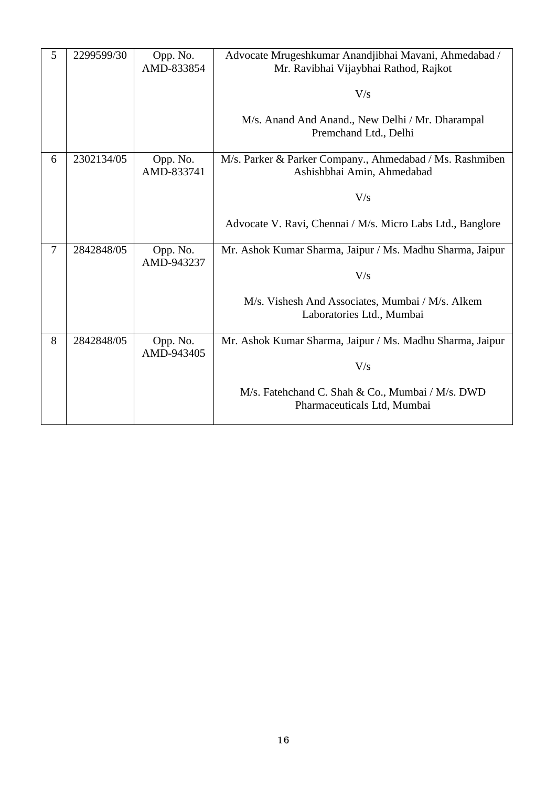| 5 | 2299599/30 | Opp. No.<br>AMD-833854 | Advocate Mrugeshkumar Anandjibhai Mavani, Ahmedabad /<br>Mr. Ravibhai Vijaybhai Rathod, Rajkot<br>V/s<br>M/s. Anand And Anand., New Delhi / Mr. Dharampal<br>Premchand Ltd., Delhi |
|---|------------|------------------------|------------------------------------------------------------------------------------------------------------------------------------------------------------------------------------|
| 6 | 2302134/05 | Opp. No.<br>AMD-833741 | M/s. Parker & Parker Company., Ahmedabad / Ms. Rashmiben<br>Ashishbhai Amin, Ahmedabad<br>V/s<br>Advocate V. Ravi, Chennai / M/s. Micro Labs Ltd., Banglore                        |
| 7 | 2842848/05 | Opp. No.<br>AMD-943237 | Mr. Ashok Kumar Sharma, Jaipur / Ms. Madhu Sharma, Jaipur<br>V/s<br>M/s. Vishesh And Associates, Mumbai / M/s. Alkem<br>Laboratories Ltd., Mumbai                                  |
| 8 | 2842848/05 | Opp. No.<br>AMD-943405 | Mr. Ashok Kumar Sharma, Jaipur / Ms. Madhu Sharma, Jaipur<br>V/s<br>M/s. Fatehchand C. Shah & Co., Mumbai / M/s. DWD<br>Pharmaceuticals Ltd, Mumbai                                |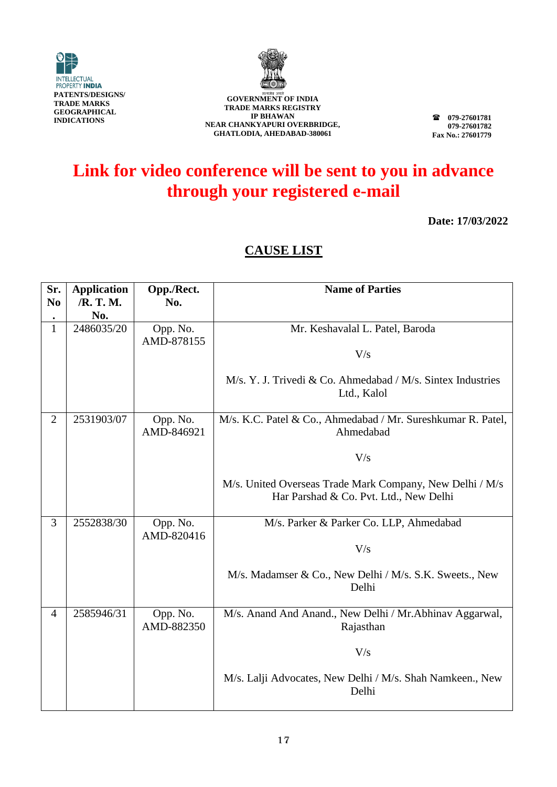



**079-27601781 079-27601782 Fax No.: 27601779**

# **Link for video conference will be sent to you in advance through your registered e-mail**

**Date: 17/03/2022**

| Sr.<br>N <sub>0</sub> | <b>Application</b><br>/R. T. M. | Opp./Rect.<br>No.      | <b>Name of Parties</b>                                                                             |
|-----------------------|---------------------------------|------------------------|----------------------------------------------------------------------------------------------------|
|                       | No.                             |                        |                                                                                                    |
| $\mathbf{1}$          | 2486035/20                      | Opp. No.               | Mr. Keshavalal L. Patel, Baroda                                                                    |
|                       |                                 | AMD-878155             | V/s                                                                                                |
|                       |                                 |                        | M/s. Y. J. Trivedi & Co. Ahmedabad / M/s. Sintex Industries<br>Ltd., Kalol                         |
| $\overline{2}$        | 2531903/07                      | Opp. No.<br>AMD-846921 | M/s. K.C. Patel & Co., Ahmedabad / Mr. Sureshkumar R. Patel,<br>Ahmedabad                          |
|                       |                                 |                        | V/s                                                                                                |
|                       |                                 |                        | M/s. United Overseas Trade Mark Company, New Delhi / M/s<br>Har Parshad & Co. Pvt. Ltd., New Delhi |
| 3                     | 2552838/30                      | Opp. No.<br>AMD-820416 | M/s. Parker & Parker Co. LLP, Ahmedabad                                                            |
|                       |                                 |                        | V/s                                                                                                |
|                       |                                 |                        | M/s. Madamser & Co., New Delhi / M/s. S.K. Sweets., New<br>Delhi                                   |
| $\overline{4}$        | 2585946/31                      | Opp. No.<br>AMD-882350 | M/s. Anand And Anand., New Delhi / Mr. Abhinav Aggarwal,<br>Rajasthan                              |
|                       |                                 |                        | V/s                                                                                                |
|                       |                                 |                        | M/s. Lalji Advocates, New Delhi / M/s. Shah Namkeen., New<br>Delhi                                 |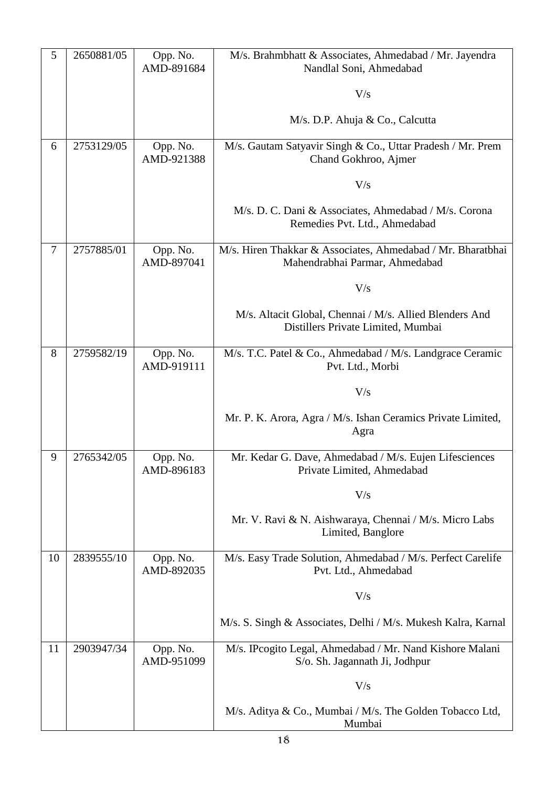| 5  | 2650881/05 | Opp. No.<br>AMD-891684 | M/s. Brahmbhatt & Associates, Ahmedabad / Mr. Jayendra<br>Nandlal Soni, Ahmedabad             |
|----|------------|------------------------|-----------------------------------------------------------------------------------------------|
|    |            |                        | V/s                                                                                           |
|    |            |                        | M/s. D.P. Ahuja & Co., Calcutta                                                               |
| 6  | 2753129/05 | Opp. No.<br>AMD-921388 | M/s. Gautam Satyavir Singh & Co., Uttar Pradesh / Mr. Prem<br>Chand Gokhroo, Ajmer            |
|    |            |                        | V/s                                                                                           |
|    |            |                        | M/s. D. C. Dani & Associates, Ahmedabad / M/s. Corona<br>Remedies Pvt. Ltd., Ahmedabad        |
| 7  | 2757885/01 | Opp. No.<br>AMD-897041 | M/s. Hiren Thakkar & Associates, Ahmedabad / Mr. Bharatbhai<br>Mahendrabhai Parmar, Ahmedabad |
|    |            |                        | V/s                                                                                           |
|    |            |                        | M/s. Altacit Global, Chennai / M/s. Allied Blenders And<br>Distillers Private Limited, Mumbai |
| 8  | 2759582/19 | Opp. No.<br>AMD-919111 | M/s. T.C. Patel & Co., Ahmedabad / M/s. Landgrace Ceramic<br>Pvt. Ltd., Morbi                 |
|    |            |                        | V/s                                                                                           |
|    |            |                        | Mr. P. K. Arora, Agra / M/s. Ishan Ceramics Private Limited,<br>Agra                          |
| 9  | 2765342/05 | Opp. No.<br>AMD-896183 | Mr. Kedar G. Dave, Ahmedabad / M/s. Eujen Lifesciences<br>Private Limited, Ahmedabad          |
|    |            |                        | V/s                                                                                           |
|    |            |                        | Mr. V. Ravi & N. Aishwaraya, Chennai / M/s. Micro Labs<br>Limited, Banglore                   |
| 10 | 2839555/10 | Opp. No.<br>AMD-892035 | M/s. Easy Trade Solution, Ahmedabad / M/s. Perfect Carelife<br>Pvt. Ltd., Ahmedabad           |
|    |            |                        | V/s                                                                                           |
|    |            |                        | M/s. S. Singh & Associates, Delhi / M/s. Mukesh Kalra, Karnal                                 |
| 11 | 2903947/34 | Opp. No.<br>AMD-951099 | M/s. IPcogito Legal, Ahmedabad / Mr. Nand Kishore Malani<br>S/o. Sh. Jagannath Ji, Jodhpur    |
|    |            |                        | V/s                                                                                           |
|    |            |                        | M/s. Aditya & Co., Mumbai / M/s. The Golden Tobacco Ltd,<br>Mumbai                            |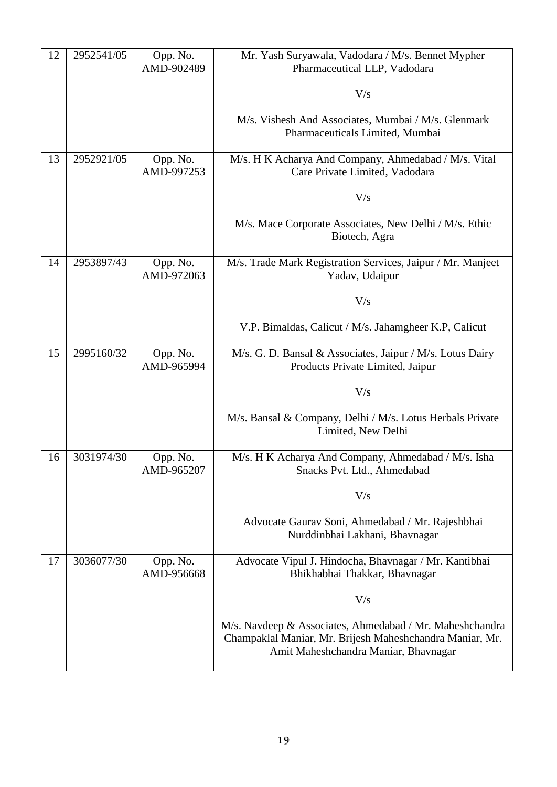| 12 | 2952541/05 | Opp. No.<br>AMD-902489 | Mr. Yash Suryawala, Vadodara / M/s. Bennet Mypher<br>Pharmaceutical LLP, Vadodara                                                                            |
|----|------------|------------------------|--------------------------------------------------------------------------------------------------------------------------------------------------------------|
|    |            |                        | V/s                                                                                                                                                          |
|    |            |                        | M/s. Vishesh And Associates, Mumbai / M/s. Glenmark<br>Pharmaceuticals Limited, Mumbai                                                                       |
| 13 | 2952921/05 | Opp. No.<br>AMD-997253 | M/s. H K Acharya And Company, Ahmedabad / M/s. Vital<br>Care Private Limited, Vadodara                                                                       |
|    |            |                        | V/s                                                                                                                                                          |
|    |            |                        | M/s. Mace Corporate Associates, New Delhi / M/s. Ethic<br>Biotech, Agra                                                                                      |
| 14 | 2953897/43 | Opp. No.<br>AMD-972063 | M/s. Trade Mark Registration Services, Jaipur / Mr. Manjeet<br>Yadav, Udaipur                                                                                |
|    |            |                        | V/s                                                                                                                                                          |
|    |            |                        | V.P. Bimaldas, Calicut / M/s. Jahamgheer K.P, Calicut                                                                                                        |
| 15 | 2995160/32 | Opp. No.<br>AMD-965994 | M/s. G. D. Bansal & Associates, Jaipur / M/s. Lotus Dairy<br>Products Private Limited, Jaipur                                                                |
|    |            |                        | V/s                                                                                                                                                          |
|    |            |                        | M/s. Bansal & Company, Delhi / M/s. Lotus Herbals Private<br>Limited, New Delhi                                                                              |
| 16 | 3031974/30 | Opp. No.<br>AMD-965207 | M/s. H K Acharya And Company, Ahmedabad / M/s. Isha<br>Snacks Pvt. Ltd., Ahmedabad                                                                           |
|    |            |                        | V/s                                                                                                                                                          |
|    |            |                        | Advocate Gaurav Soni, Ahmedabad / Mr. Rajeshbhai<br>Nurddinbhai Lakhani, Bhavnagar                                                                           |
| 17 | 3036077/30 | Opp. No.<br>AMD-956668 | Advocate Vipul J. Hindocha, Bhavnagar / Mr. Kantibhai<br>Bhikhabhai Thakkar, Bhavnagar                                                                       |
|    |            |                        | V/s                                                                                                                                                          |
|    |            |                        | M/s. Navdeep & Associates, Ahmedabad / Mr. Maheshchandra<br>Champaklal Maniar, Mr. Brijesh Maheshchandra Maniar, Mr.<br>Amit Maheshchandra Maniar, Bhavnagar |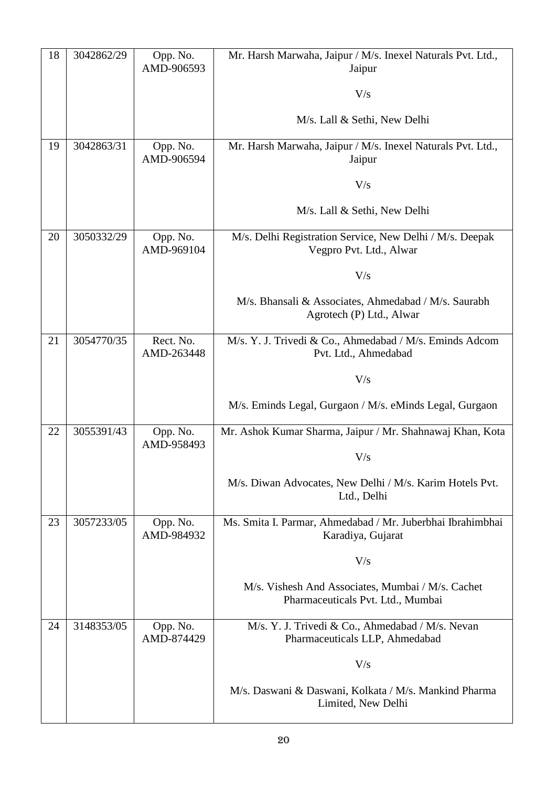| 18 | 3042862/29 | Opp. No.<br>AMD-906593  | Mr. Harsh Marwaha, Jaipur / M/s. Inexel Naturals Pvt. Ltd.,<br>Jaipur                  |
|----|------------|-------------------------|----------------------------------------------------------------------------------------|
|    |            |                         | V/s                                                                                    |
|    |            |                         | M/s. Lall & Sethi, New Delhi                                                           |
| 19 | 3042863/31 | Opp. No.<br>AMD-906594  | Mr. Harsh Marwaha, Jaipur / M/s. Inexel Naturals Pvt. Ltd.,<br>Jaipur                  |
|    |            |                         | V/s                                                                                    |
|    |            |                         | M/s. Lall & Sethi, New Delhi                                                           |
| 20 | 3050332/29 | Opp. No.<br>AMD-969104  | M/s. Delhi Registration Service, New Delhi / M/s. Deepak<br>Vegpro Pvt. Ltd., Alwar    |
|    |            |                         | V/s                                                                                    |
|    |            |                         | M/s. Bhansali & Associates, Ahmedabad / M/s. Saurabh<br>Agrotech (P) Ltd., Alwar       |
| 21 | 3054770/35 | Rect. No.<br>AMD-263448 | M/s. Y. J. Trivedi & Co., Ahmedabad / M/s. Eminds Adcom<br>Pvt. Ltd., Ahmedabad        |
|    |            |                         | V/s                                                                                    |
|    |            |                         | M/s. Eminds Legal, Gurgaon / M/s. eMinds Legal, Gurgaon                                |
| 22 | 3055391/43 | Opp. No.<br>AMD-958493  | Mr. Ashok Kumar Sharma, Jaipur / Mr. Shahnawaj Khan, Kota                              |
|    |            |                         | V/s                                                                                    |
|    |            |                         | M/s. Diwan Advocates, New Delhi / M/s. Karim Hotels Pvt.<br>Ltd., Delhi                |
| 23 | 3057233/05 | Opp. No.<br>AMD-984932  | Ms. Smita I. Parmar, Ahmedabad / Mr. Juberbhai Ibrahimbhai<br>Karadiya, Gujarat        |
|    |            |                         | V/s                                                                                    |
|    |            |                         | M/s. Vishesh And Associates, Mumbai / M/s. Cachet<br>Pharmaceuticals Pvt. Ltd., Mumbai |
| 24 | 3148353/05 | Opp. No.<br>AMD-874429  | M/s. Y. J. Trivedi & Co., Ahmedabad / M/s. Nevan<br>Pharmaceuticals LLP, Ahmedabad     |
|    |            |                         | V/s                                                                                    |
|    |            |                         | M/s. Daswani & Daswani, Kolkata / M/s. Mankind Pharma<br>Limited, New Delhi            |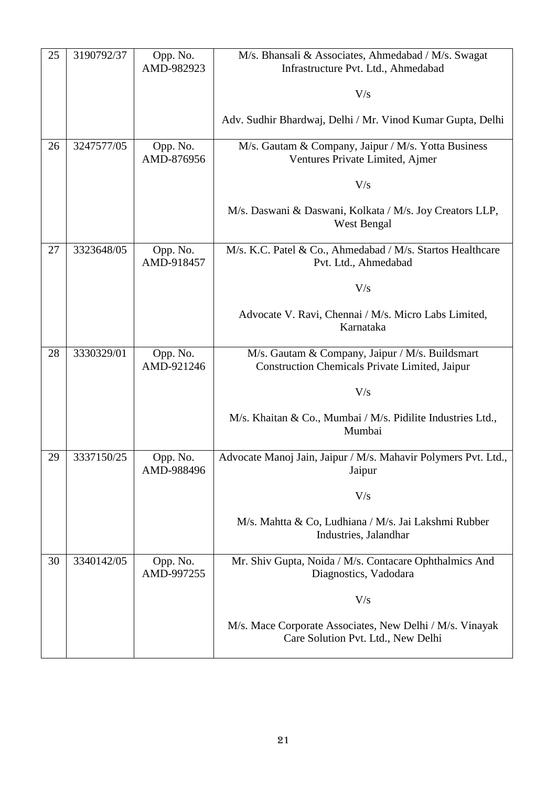| 25 | 3190792/37 | Opp. No.<br>AMD-982923 | M/s. Bhansali & Associates, Ahmedabad / M/s. Swagat<br>Infrastructure Pvt. Ltd., Ahmedabad               |
|----|------------|------------------------|----------------------------------------------------------------------------------------------------------|
|    |            |                        | V/s                                                                                                      |
|    |            |                        | Adv. Sudhir Bhardwaj, Delhi / Mr. Vinod Kumar Gupta, Delhi                                               |
|    |            |                        |                                                                                                          |
| 26 | 3247577/05 | Opp. No.<br>AMD-876956 | M/s. Gautam & Company, Jaipur / M/s. Yotta Business<br>Ventures Private Limited, Ajmer                   |
|    |            |                        | V/s                                                                                                      |
|    |            |                        | M/s. Daswani & Daswani, Kolkata / M/s. Joy Creators LLP,<br>West Bengal                                  |
| 27 | 3323648/05 | Opp. No.<br>AMD-918457 | M/s. K.C. Patel & Co., Ahmedabad / M/s. Startos Healthcare<br>Pvt. Ltd., Ahmedabad                       |
|    |            |                        | V/s                                                                                                      |
|    |            |                        | Advocate V. Ravi, Chennai / M/s. Micro Labs Limited,<br>Karnataka                                        |
| 28 | 3330329/01 | Opp. No.<br>AMD-921246 | M/s. Gautam & Company, Jaipur / M/s. Buildsmart<br><b>Construction Chemicals Private Limited, Jaipur</b> |
|    |            |                        | V/s                                                                                                      |
|    |            |                        | M/s. Khaitan & Co., Mumbai / M/s. Pidilite Industries Ltd.,<br>Mumbai                                    |
| 29 | 3337150/25 | Opp. No.<br>AMD-988496 | Advocate Manoj Jain, Jaipur / M/s. Mahavir Polymers Pvt. Ltd.,<br>Jaipur                                 |
|    |            |                        | V/s                                                                                                      |
|    |            |                        | M/s. Mahtta & Co, Ludhiana / M/s. Jai Lakshmi Rubber<br>Industries, Jalandhar                            |
| 30 | 3340142/05 | Opp. No.<br>AMD-997255 | Mr. Shiv Gupta, Noida / M/s. Contacare Ophthalmics And<br>Diagnostics, Vadodara                          |
|    |            |                        | V/s                                                                                                      |
|    |            |                        | M/s. Mace Corporate Associates, New Delhi / M/s. Vinayak<br>Care Solution Pvt. Ltd., New Delhi           |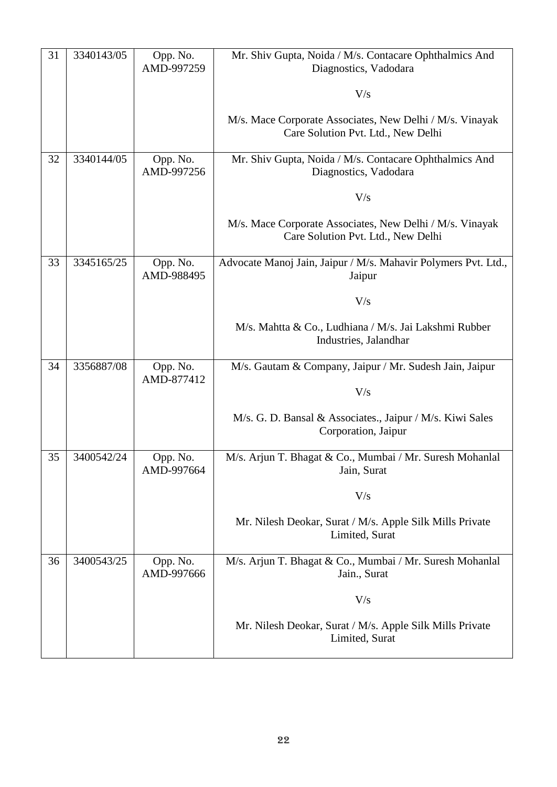| 31 | 3340143/05 | Opp. No.<br>AMD-997259 | Mr. Shiv Gupta, Noida / M/s. Contacare Ophthalmics And<br>Diagnostics, Vadodara                |
|----|------------|------------------------|------------------------------------------------------------------------------------------------|
|    |            |                        | V/s                                                                                            |
|    |            |                        | M/s. Mace Corporate Associates, New Delhi / M/s. Vinayak<br>Care Solution Pvt. Ltd., New Delhi |
| 32 | 3340144/05 | Opp. No.<br>AMD-997256 | Mr. Shiv Gupta, Noida / M/s. Contacare Ophthalmics And<br>Diagnostics, Vadodara                |
|    |            |                        | V/s                                                                                            |
|    |            |                        | M/s. Mace Corporate Associates, New Delhi / M/s. Vinayak<br>Care Solution Pvt. Ltd., New Delhi |
| 33 | 3345165/25 | Opp. No.<br>AMD-988495 | Advocate Manoj Jain, Jaipur / M/s. Mahavir Polymers Pvt. Ltd.,<br>Jaipur                       |
|    |            |                        | V/s                                                                                            |
|    |            |                        | M/s. Mahtta & Co., Ludhiana / M/s. Jai Lakshmi Rubber<br>Industries, Jalandhar                 |
| 34 | 3356887/08 | Opp. No.<br>AMD-877412 | M/s. Gautam & Company, Jaipur / Mr. Sudesh Jain, Jaipur                                        |
|    |            |                        | V/s                                                                                            |
|    |            |                        | M/s. G. D. Bansal & Associates., Jaipur / M/s. Kiwi Sales<br>Corporation, Jaipur               |
| 35 | 3400542/24 | Opp. No.<br>AMD-997664 | M/s. Arjun T. Bhagat & Co., Mumbai / Mr. Suresh Mohanlal<br>Jain, Surat                        |
|    |            |                        | V/s                                                                                            |
|    |            |                        | Mr. Nilesh Deokar, Surat / M/s. Apple Silk Mills Private<br>Limited, Surat                     |
| 36 | 3400543/25 | Opp. No.<br>AMD-997666 | M/s. Arjun T. Bhagat & Co., Mumbai / Mr. Suresh Mohanlal<br>Jain., Surat                       |
|    |            |                        | V/s                                                                                            |
|    |            |                        | Mr. Nilesh Deokar, Surat / M/s. Apple Silk Mills Private<br>Limited, Surat                     |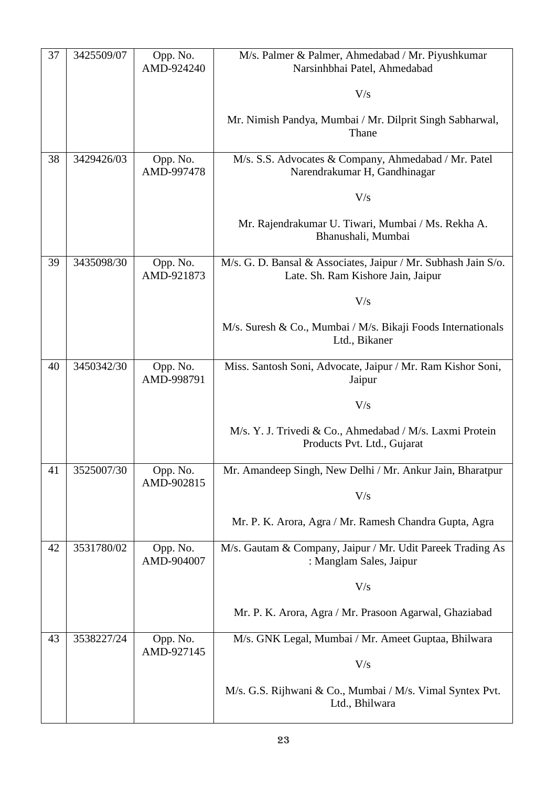| 37 | 3425509/07 | Opp. No.<br>AMD-924240 | M/s. Palmer & Palmer, Ahmedabad / Mr. Piyushkumar<br>Narsinhbhai Patel, Ahmedabad                    |
|----|------------|------------------------|------------------------------------------------------------------------------------------------------|
|    |            |                        | V/s                                                                                                  |
|    |            |                        | Mr. Nimish Pandya, Mumbai / Mr. Dilprit Singh Sabharwal,<br>Thane                                    |
| 38 | 3429426/03 | Opp. No.<br>AMD-997478 | M/s. S.S. Advocates & Company, Ahmedabad / Mr. Patel<br>Narendrakumar H, Gandhinagar                 |
|    |            |                        | V/s                                                                                                  |
|    |            |                        | Mr. Rajendrakumar U. Tiwari, Mumbai / Ms. Rekha A.<br>Bhanushali, Mumbai                             |
| 39 | 3435098/30 | Opp. No.<br>AMD-921873 | M/s. G. D. Bansal & Associates, Jaipur / Mr. Subhash Jain S/o.<br>Late. Sh. Ram Kishore Jain, Jaipur |
|    |            |                        | V/s                                                                                                  |
|    |            |                        | M/s. Suresh & Co., Mumbai / M/s. Bikaji Foods Internationals<br>Ltd., Bikaner                        |
| 40 | 3450342/30 | Opp. No.<br>AMD-998791 | Miss. Santosh Soni, Advocate, Jaipur / Mr. Ram Kishor Soni,<br>Jaipur                                |
|    |            |                        | V/s                                                                                                  |
|    |            |                        | M/s. Y. J. Trivedi & Co., Ahmedabad / M/s. Laxmi Protein<br>Products Pvt. Ltd., Gujarat              |
| 41 | 3525007/30 | Opp. No.<br>AMD-902815 | Mr. Amandeep Singh, New Delhi / Mr. Ankur Jain, Bharatpur                                            |
|    |            |                        | V/s                                                                                                  |
|    |            |                        | Mr. P. K. Arora, Agra / Mr. Ramesh Chandra Gupta, Agra                                               |
| 42 | 3531780/02 | Opp. No.<br>AMD-904007 | M/s. Gautam & Company, Jaipur / Mr. Udit Pareek Trading As<br>: Manglam Sales, Jaipur                |
|    |            |                        | V/s                                                                                                  |
|    |            |                        | Mr. P. K. Arora, Agra / Mr. Prasoon Agarwal, Ghaziabad                                               |
| 43 | 3538227/24 | Opp. No.<br>AMD-927145 | M/s. GNK Legal, Mumbai / Mr. Ameet Guptaa, Bhilwara                                                  |
|    |            |                        | V/s                                                                                                  |
|    |            |                        | M/s. G.S. Rijhwani & Co., Mumbai / M/s. Vimal Syntex Pvt.<br>Ltd., Bhilwara                          |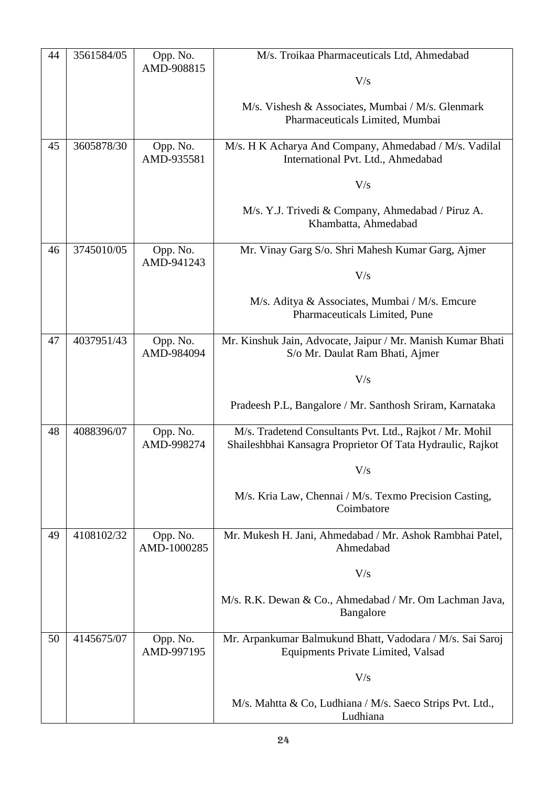| 44 | 3561584/05 | Opp. No.                | M/s. Troikaa Pharmaceuticals Ltd, Ahmedabad                                                                            |
|----|------------|-------------------------|------------------------------------------------------------------------------------------------------------------------|
|    |            | AMD-908815              | V/s                                                                                                                    |
|    |            |                         | M/s. Vishesh & Associates, Mumbai / M/s. Glenmark                                                                      |
|    |            |                         | Pharmaceuticals Limited, Mumbai                                                                                        |
| 45 | 3605878/30 | Opp. No.                | M/s. H K Acharya And Company, Ahmedabad / M/s. Vadilal                                                                 |
|    |            | AMD-935581              | International Pvt. Ltd., Ahmedabad                                                                                     |
|    |            |                         | V/s                                                                                                                    |
|    |            |                         | M/s. Y.J. Trivedi & Company, Ahmedabad / Piruz A.                                                                      |
|    |            |                         | Khambatta, Ahmedabad                                                                                                   |
| 46 | 3745010/05 | Opp. No.                | Mr. Vinay Garg S/o. Shri Mahesh Kumar Garg, Ajmer                                                                      |
|    |            | AMD-941243              | V/s                                                                                                                    |
|    |            |                         | M/s. Aditya & Associates, Mumbai / M/s. Emcure                                                                         |
|    |            |                         | Pharmaceuticals Limited, Pune                                                                                          |
| 47 | 4037951/43 | Opp. No.                | Mr. Kinshuk Jain, Advocate, Jaipur / Mr. Manish Kumar Bhati                                                            |
|    |            | AMD-984094              | S/o Mr. Daulat Ram Bhati, Ajmer                                                                                        |
|    |            |                         | V/s                                                                                                                    |
|    |            |                         | Pradeesh P.L, Bangalore / Mr. Santhosh Sriram, Karnataka                                                               |
| 48 | 4088396/07 | Opp. No.<br>AMD-998274  | M/s. Tradetend Consultants Pvt. Ltd., Rajkot / Mr. Mohil<br>Shaileshbhai Kansagra Proprietor Of Tata Hydraulic, Rajkot |
|    |            |                         | $\rm V/s$                                                                                                              |
|    |            |                         | M/s. Kria Law, Chennai / M/s. Texmo Precision Casting,<br>Coimbatore                                                   |
| 49 | 4108102/32 | Opp. No.<br>AMD-1000285 | Mr. Mukesh H. Jani, Ahmedabad / Mr. Ashok Rambhai Patel,<br>Ahmedabad                                                  |
|    |            |                         | V/s                                                                                                                    |
|    |            |                         | M/s. R.K. Dewan & Co., Ahmedabad / Mr. Om Lachman Java,<br>Bangalore                                                   |
| 50 | 4145675/07 | Opp. No.<br>AMD-997195  | Mr. Arpankumar Balmukund Bhatt, Vadodara / M/s. Sai Saroj<br>Equipments Private Limited, Valsad                        |
|    |            |                         | V/s                                                                                                                    |
|    |            |                         | M/s. Mahtta & Co, Ludhiana / M/s. Saeco Strips Pvt. Ltd.,<br>Ludhiana                                                  |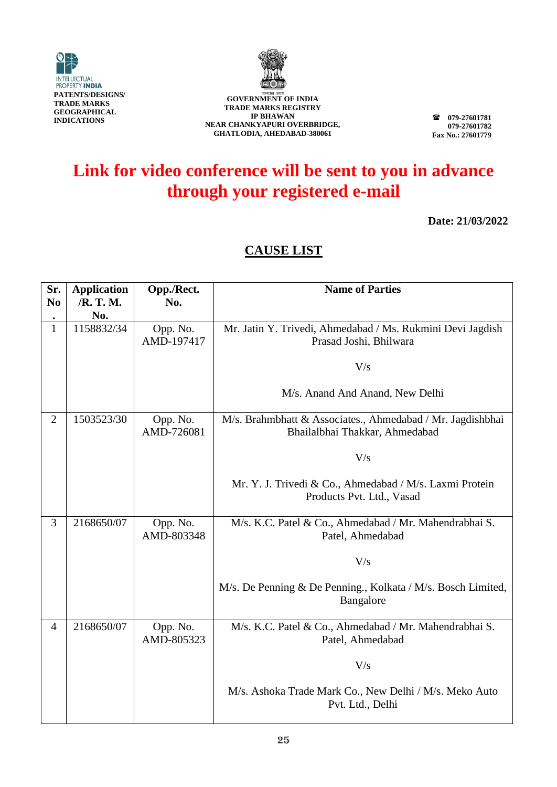



**079-27601781 079-27601782 Fax No.: 27601779**

# **Link for video conference will be sent to you in advance through your registered e-mail**

**Date: 21/03/2022**

| Sr.<br>N <sub>0</sub>     | <b>Application</b><br>/R. T. M. | Opp./Rect.<br>No.      | <b>Name of Parties</b>                                                                       |
|---------------------------|---------------------------------|------------------------|----------------------------------------------------------------------------------------------|
| $\bullet$<br>$\mathbf{1}$ | No.<br>1158832/34               | Opp. No.<br>AMD-197417 | Mr. Jatin Y. Trivedi, Ahmedabad / Ms. Rukmini Devi Jagdish<br>Prasad Joshi, Bhilwara         |
|                           |                                 |                        | V/s                                                                                          |
|                           |                                 |                        | M/s. Anand And Anand, New Delhi                                                              |
| $\overline{2}$            | 1503523/30                      | Opp. No.<br>AMD-726081 | M/s. Brahmbhatt & Associates., Ahmedabad / Mr. Jagdishbhai<br>Bhailalbhai Thakkar, Ahmedabad |
|                           |                                 |                        | V/s                                                                                          |
|                           |                                 |                        | Mr. Y. J. Trivedi & Co., Ahmedabad / M/s. Laxmi Protein<br>Products Pvt. Ltd., Vasad         |
| 3                         | 2168650/07                      | Opp. No.<br>AMD-803348 | M/s. K.C. Patel & Co., Ahmedabad / Mr. Mahendrabhai S.<br>Patel, Ahmedabad                   |
|                           |                                 |                        | V/s                                                                                          |
|                           |                                 |                        | M/s. De Penning & De Penning., Kolkata / M/s. Bosch Limited,<br>Bangalore                    |
| $\overline{4}$            | 2168650/07                      | Opp. No.<br>AMD-805323 | M/s. K.C. Patel & Co., Ahmedabad / Mr. Mahendrabhai S.<br>Patel, Ahmedabad                   |
|                           |                                 |                        | V/s                                                                                          |
|                           |                                 |                        | M/s. Ashoka Trade Mark Co., New Delhi / M/s. Meko Auto<br>Pvt. Ltd., Delhi                   |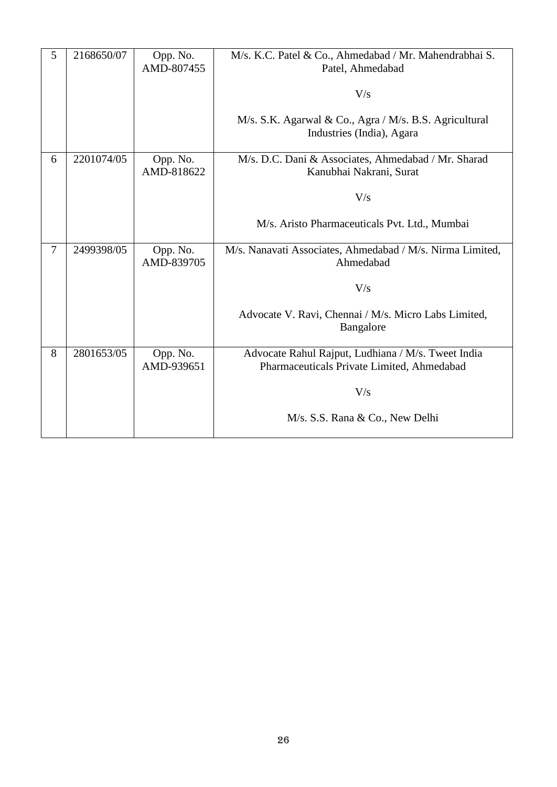| 5              | 2168650/07 | Opp. No.<br>AMD-807455 | M/s. K.C. Patel & Co., Ahmedabad / Mr. Mahendrabhai S.<br>Patel, Ahmedabad                       |
|----------------|------------|------------------------|--------------------------------------------------------------------------------------------------|
|                |            |                        | V/s                                                                                              |
|                |            |                        | M/s. S.K. Agarwal & Co., Agra / M/s. B.S. Agricultural<br>Industries (India), Agara              |
| 6              | 2201074/05 | Opp. No.<br>AMD-818622 | M/s. D.C. Dani & Associates, Ahmedabad / Mr. Sharad<br>Kanubhai Nakrani, Surat                   |
|                |            |                        | V/s                                                                                              |
|                |            |                        | M/s. Aristo Pharmaceuticals Pvt. Ltd., Mumbai                                                    |
| $\overline{7}$ | 2499398/05 | Opp. No.<br>AMD-839705 | M/s. Nanavati Associates, Ahmedabad / M/s. Nirma Limited,<br>Ahmedabad                           |
|                |            |                        | V/s                                                                                              |
|                |            |                        | Advocate V. Ravi, Chennai / M/s. Micro Labs Limited,<br>Bangalore                                |
| 8              | 2801653/05 | Opp. No.<br>AMD-939651 | Advocate Rahul Rajput, Ludhiana / M/s. Tweet India<br>Pharmaceuticals Private Limited, Ahmedabad |
|                |            |                        | V/s                                                                                              |
|                |            |                        | M/s. S.S. Rana & Co., New Delhi                                                                  |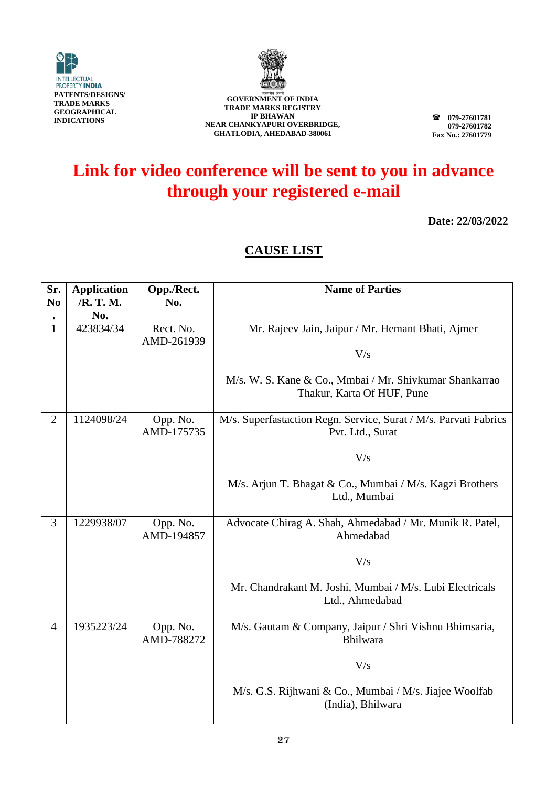



**079-27601781 079-27601782 Fax No.: 27601779**

### **Link for video conference will be sent to you in advance through your registered e-mail**

**Date: 22/03/2022**

| Sr.<br>N <sub>0</sub> | <b>Application</b><br>/R. T. M. | Opp./Rect.<br>No.       | <b>Name of Parties</b>                                                                |
|-----------------------|---------------------------------|-------------------------|---------------------------------------------------------------------------------------|
|                       | No.                             |                         |                                                                                       |
| $\mathbf{1}$          | 423834/34                       | Rect. No.<br>AMD-261939 | Mr. Rajeev Jain, Jaipur / Mr. Hemant Bhati, Ajmer                                     |
|                       |                                 |                         | V/s                                                                                   |
|                       |                                 |                         | M/s. W. S. Kane & Co., Mmbai / Mr. Shivkumar Shankarrao<br>Thakur, Karta Of HUF, Pune |
| $\overline{2}$        | 1124098/24                      | Opp. No.<br>AMD-175735  | M/s. Superfastaction Regn. Service, Surat / M/s. Parvati Fabrics<br>Pvt. Ltd., Surat  |
|                       |                                 |                         | V/s                                                                                   |
|                       |                                 |                         | M/s. Arjun T. Bhagat & Co., Mumbai / M/s. Kagzi Brothers<br>Ltd., Mumbai              |
| 3                     | 1229938/07                      | Opp. No.<br>AMD-194857  | Advocate Chirag A. Shah, Ahmedabad / Mr. Munik R. Patel,<br>Ahmedabad                 |
|                       |                                 |                         | V/s                                                                                   |
|                       |                                 |                         | Mr. Chandrakant M. Joshi, Mumbai / M/s. Lubi Electricals<br>Ltd., Ahmedabad           |
| $\overline{4}$        | 1935223/24                      | Opp. No.<br>AMD-788272  | M/s. Gautam & Company, Jaipur / Shri Vishnu Bhimsaria,<br><b>Bhilwara</b>             |
|                       |                                 |                         | V/s                                                                                   |
|                       |                                 |                         | M/s. G.S. Rijhwani & Co., Mumbai / M/s. Jiajee Woolfab<br>(India), Bhilwara           |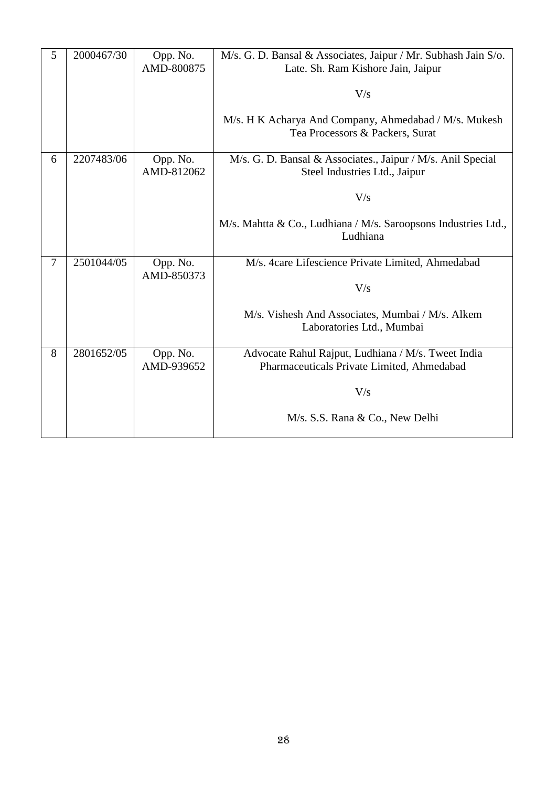| 5              | 2000467/30 | Opp. No.<br>AMD-800875 | M/s. G. D. Bansal & Associates, Jaipur / Mr. Subhash Jain S/o.<br>Late. Sh. Ram Kishore Jain, Jaipur |
|----------------|------------|------------------------|------------------------------------------------------------------------------------------------------|
|                |            |                        | V/s                                                                                                  |
|                |            |                        | M/s. H K Acharya And Company, Ahmedabad / M/s. Mukesh<br>Tea Processors & Packers, Surat             |
| 6              | 2207483/06 | Opp. No.<br>AMD-812062 | M/s. G. D. Bansal & Associates., Jaipur / M/s. Anil Special<br>Steel Industries Ltd., Jaipur         |
|                |            |                        | V/s                                                                                                  |
|                |            |                        | M/s. Mahtta & Co., Ludhiana / M/s. Saroopsons Industries Ltd.,<br>Ludhiana                           |
| $\overline{7}$ | 2501044/05 | Opp. No.<br>AMD-850373 | M/s. 4care Lifescience Private Limited, Ahmedabad                                                    |
|                |            |                        | V/s                                                                                                  |
|                |            |                        | M/s. Vishesh And Associates, Mumbai / M/s. Alkem<br>Laboratories Ltd., Mumbai                        |
| 8              | 2801652/05 | Opp. No.<br>AMD-939652 | Advocate Rahul Rajput, Ludhiana / M/s. Tweet India<br>Pharmaceuticals Private Limited, Ahmedabad     |
|                |            |                        | V/s                                                                                                  |
|                |            |                        | M/s. S.S. Rana & Co., New Delhi                                                                      |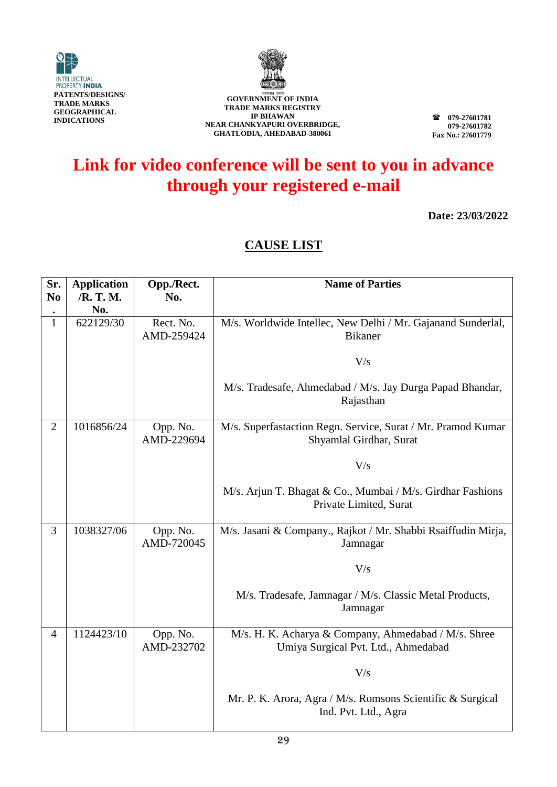



**TRADE MARKS REGISTRY IP BHAWAN NEAR CHANKYAPURI OVERBRIDGE, GHATLODIA, AHEDABAD-380061**

**079-27601781 079-27601782 Fax No.: 27601779**

### **Link for video conference will be sent to you in advance through your registered e-mail**

**Date: 23/03/2022**

| Sr.            | <b>Application</b> | Opp./Rect.              | <b>Name of Parties</b>                                                                      |
|----------------|--------------------|-------------------------|---------------------------------------------------------------------------------------------|
| N <sub>0</sub> | /R. T. M.          | No.                     |                                                                                             |
|                | No.                |                         |                                                                                             |
| $\mathbf{1}$   | 622129/30          | Rect. No.<br>AMD-259424 | M/s. Worldwide Intellec, New Delhi / Mr. Gajanand Sunderlal,<br>Bikaner                     |
|                |                    |                         | V/s                                                                                         |
|                |                    |                         | M/s. Tradesafe, Ahmedabad / M/s. Jay Durga Papad Bhandar,<br>Rajasthan                      |
| $\overline{2}$ | 1016856/24         | Opp. No.<br>AMD-229694  | M/s. Superfastaction Regn. Service, Surat / Mr. Pramod Kumar<br>Shyamlal Girdhar, Surat     |
|                |                    |                         | V/s                                                                                         |
|                |                    |                         | M/s. Arjun T. Bhagat & Co., Mumbai / M/s. Girdhar Fashions<br>Private Limited, Surat        |
| $\overline{3}$ | 1038327/06         | Opp. No.<br>AMD-720045  | M/s. Jasani & Company., Rajkot / Mr. Shabbi Rsaiffudin Mirja,<br>Jamnagar                   |
|                |                    |                         | V/s                                                                                         |
|                |                    |                         | M/s. Tradesafe, Jamnagar / M/s. Classic Metal Products,<br>Jamnagar                         |
| $\overline{4}$ | 1124423/10         | Opp. No.<br>AMD-232702  | M/s. H. K. Acharya & Company, Ahmedabad / M/s. Shree<br>Umiya Surgical Pvt. Ltd., Ahmedabad |
|                |                    |                         | V/s                                                                                         |
|                |                    |                         | Mr. P. K. Arora, Agra / M/s. Romsons Scientific & Surgical<br>Ind. Pvt. Ltd., Agra          |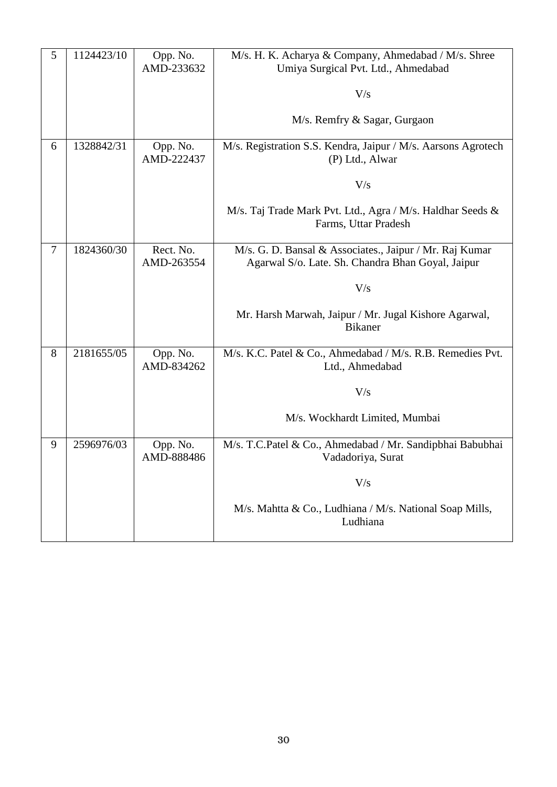| 5 | 1124423/10 | Opp. No.<br>AMD-233632  | M/s. H. K. Acharya & Company, Ahmedabad / M/s. Shree<br>Umiya Surgical Pvt. Ltd., Ahmedabad<br>V/s<br>M/s. Remfry & Sagar, Gurgaon                                                             |
|---|------------|-------------------------|------------------------------------------------------------------------------------------------------------------------------------------------------------------------------------------------|
| 6 | 1328842/31 | Opp. No.<br>AMD-222437  | M/s. Registration S.S. Kendra, Jaipur / M/s. Aarsons Agrotech<br>(P) Ltd., Alwar<br>V/s<br>M/s. Taj Trade Mark Pvt. Ltd., Agra / M/s. Haldhar Seeds &<br>Farms, Uttar Pradesh                  |
| 7 | 1824360/30 | Rect. No.<br>AMD-263554 | M/s. G. D. Bansal & Associates., Jaipur / Mr. Raj Kumar<br>Agarwal S/o. Late. Sh. Chandra Bhan Goyal, Jaipur<br>V/s<br>Mr. Harsh Marwah, Jaipur / Mr. Jugal Kishore Agarwal,<br><b>Bikaner</b> |
| 8 | 2181655/05 | Opp. No.<br>AMD-834262  | M/s. K.C. Patel & Co., Ahmedabad / M/s. R.B. Remedies Pvt.<br>Ltd., Ahmedabad<br>V/s<br>M/s. Wockhardt Limited, Mumbai                                                                         |
| 9 | 2596976/03 | Opp. No.<br>AMD-888486  | M/s. T.C.Patel & Co., Ahmedabad / Mr. Sandipbhai Babubhai<br>Vadadoriya, Surat<br>V/s<br>M/s. Mahtta & Co., Ludhiana / M/s. National Soap Mills,<br>Ludhiana                                   |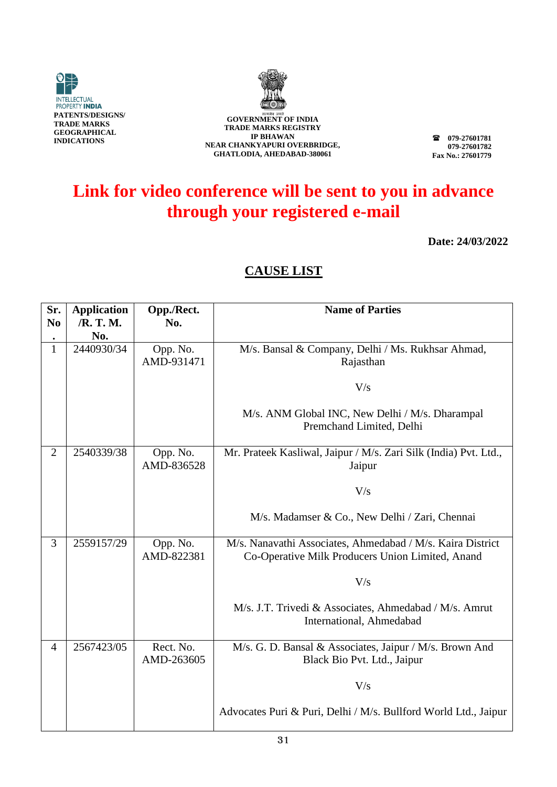



**079-27601781 079-27601782 Fax No.: 27601779**

# **Link for video conference will be sent to you in advance through your registered e-mail**

**Date: 24/03/2022**

| Sr.<br>N <sub>0</sub> | <b>Application</b><br>/R. T. M. | Opp./Rect.<br>No.       | <b>Name of Parties</b>                                                                                         |
|-----------------------|---------------------------------|-------------------------|----------------------------------------------------------------------------------------------------------------|
| $\bullet$             | No.                             |                         |                                                                                                                |
| $\mathbf 1$           | 2440930/34                      | Opp. No.<br>AMD-931471  | M/s. Bansal & Company, Delhi / Ms. Rukhsar Ahmad,<br>Rajasthan                                                 |
|                       |                                 |                         | V/s                                                                                                            |
|                       |                                 |                         | M/s. ANM Global INC, New Delhi / M/s. Dharampal<br>Premchand Limited, Delhi                                    |
| $\overline{2}$        | 2540339/38                      | Opp. No.<br>AMD-836528  | Mr. Prateek Kasliwal, Jaipur / M/s. Zari Silk (India) Pvt. Ltd.,<br>Jaipur                                     |
|                       |                                 |                         | V/s                                                                                                            |
|                       |                                 |                         | M/s. Madamser & Co., New Delhi / Zari, Chennai                                                                 |
| 3                     | 2559157/29                      | Opp. No.<br>AMD-822381  | M/s. Nanavathi Associates, Ahmedabad / M/s. Kaira District<br>Co-Operative Milk Producers Union Limited, Anand |
|                       |                                 |                         | V/s                                                                                                            |
|                       |                                 |                         | M/s. J.T. Trivedi & Associates, Ahmedabad / M/s. Amrut<br>International, Ahmedabad                             |
| $\overline{4}$        | 2567423/05                      | Rect. No.<br>AMD-263605 | M/s. G. D. Bansal & Associates, Jaipur / M/s. Brown And<br>Black Bio Pvt. Ltd., Jaipur                         |
|                       |                                 |                         | V/s                                                                                                            |
|                       |                                 |                         | Advocates Puri & Puri, Delhi / M/s. Bullford World Ltd., Jaipur                                                |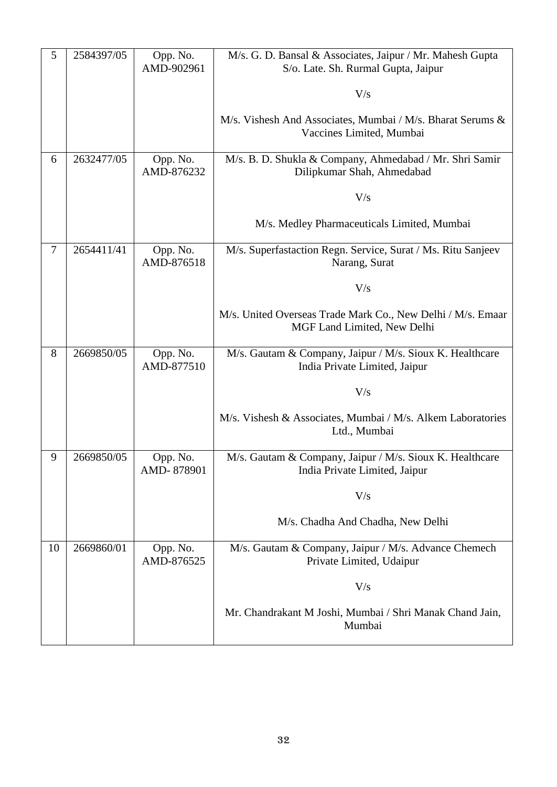| 5  | 2584397/05 | Opp. No.<br>AMD-902961 | M/s. G. D. Bansal & Associates, Jaipur / Mr. Mahesh Gupta<br>S/o. Late. Sh. Rurmal Gupta, Jaipur |
|----|------------|------------------------|--------------------------------------------------------------------------------------------------|
|    |            |                        |                                                                                                  |
|    |            |                        | V/s                                                                                              |
|    |            |                        | M/s. Vishesh And Associates, Mumbai / M/s. Bharat Serums &<br>Vaccines Limited, Mumbai           |
| 6  | 2632477/05 | Opp. No.<br>AMD-876232 | M/s. B. D. Shukla & Company, Ahmedabad / Mr. Shri Samir<br>Dilipkumar Shah, Ahmedabad            |
|    |            |                        | V/s                                                                                              |
|    |            |                        | M/s. Medley Pharmaceuticals Limited, Mumbai                                                      |
| 7  | 2654411/41 | Opp. No.<br>AMD-876518 | M/s. Superfastaction Regn. Service, Surat / Ms. Ritu Sanjeev<br>Narang, Surat                    |
|    |            |                        | V/s                                                                                              |
|    |            |                        | M/s. United Overseas Trade Mark Co., New Delhi / M/s. Emaar<br>MGF Land Limited, New Delhi       |
| 8  | 2669850/05 | Opp. No.<br>AMD-877510 | M/s. Gautam & Company, Jaipur / M/s. Sioux K. Healthcare<br>India Private Limited, Jaipur        |
|    |            |                        | V/s                                                                                              |
|    |            |                        | M/s. Vishesh & Associates, Mumbai / M/s. Alkem Laboratories<br>Ltd., Mumbai                      |
| 9  | 2669850/05 | Opp. No.<br>AMD-878901 | M/s. Gautam & Company, Jaipur / M/s. Sioux K. Healthcare<br>India Private Limited, Jaipur        |
|    |            |                        | V/s                                                                                              |
|    |            |                        | M/s. Chadha And Chadha, New Delhi                                                                |
| 10 | 2669860/01 | Opp. No.<br>AMD-876525 | M/s. Gautam & Company, Jaipur / M/s. Advance Chemech<br>Private Limited, Udaipur                 |
|    |            |                        | V/s                                                                                              |
|    |            |                        | Mr. Chandrakant M Joshi, Mumbai / Shri Manak Chand Jain,<br>Mumbai                               |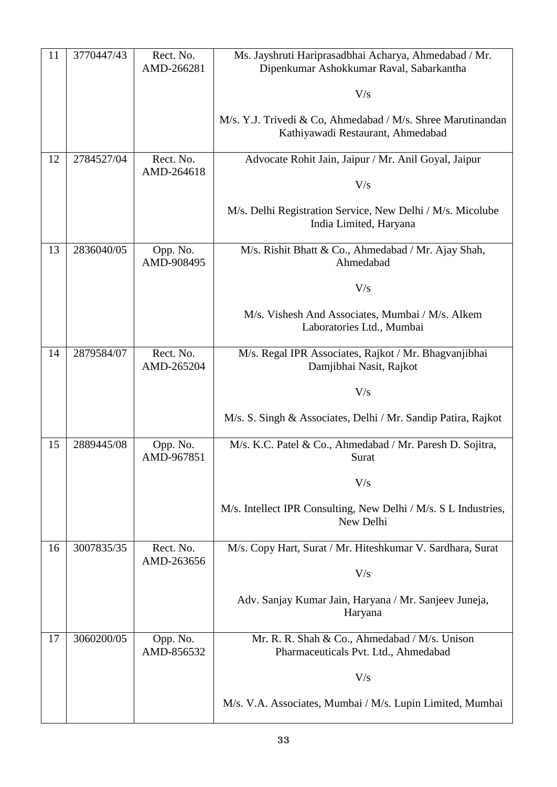| 11 | 3770447/43 | Rect. No.<br>AMD-266281 | Ms. Jayshruti Hariprasadbhai Acharya, Ahmedabad / Mr.<br>Dipenkumar Ashokkumar Raval, Sabarkantha |
|----|------------|-------------------------|---------------------------------------------------------------------------------------------------|
|    |            |                         | V/s                                                                                               |
|    |            |                         | M/s. Y.J. Trivedi & Co, Ahmedabad / M/s. Shree Marutinandan<br>Kathiyawadi Restaurant, Ahmedabad  |
| 12 | 2784527/04 | Rect. No.<br>AMD-264618 | Advocate Rohit Jain, Jaipur / Mr. Anil Goyal, Jaipur                                              |
|    |            |                         | V/s                                                                                               |
|    |            |                         | M/s. Delhi Registration Service, New Delhi / M/s. Micolube<br>India Limited, Haryana              |
| 13 | 2836040/05 | Opp. No.<br>AMD-908495  | M/s. Rishit Bhatt & Co., Ahmedabad / Mr. Ajay Shah,<br>Ahmedabad                                  |
|    |            |                         | V/s                                                                                               |
|    |            |                         | M/s. Vishesh And Associates, Mumbai / M/s. Alkem<br>Laboratories Ltd., Mumbai                     |
| 14 | 2879584/07 | Rect. No.<br>AMD-265204 | M/s. Regal IPR Associates, Rajkot / Mr. Bhagvanjibhai<br>Damjibhai Nasit, Rajkot                  |
|    |            |                         | V/s                                                                                               |
|    |            |                         | M/s. S. Singh & Associates, Delhi / Mr. Sandip Patira, Rajkot                                     |
| 15 | 2889445/08 | Opp. No.<br>AMD-967851  | M/s. K.C. Patel & Co., Ahmedabad / Mr. Paresh D. Sojitra,<br>Surat                                |
|    |            |                         | V/s                                                                                               |
|    |            |                         | M/s. Intellect IPR Consulting, New Delhi / M/s. S L Industries,<br>New Delhi                      |
| 16 | 3007835/35 | Rect. No.<br>AMD-263656 | M/s. Copy Hart, Surat / Mr. Hiteshkumar V. Sardhara, Surat                                        |
|    |            |                         | V/s                                                                                               |
|    |            |                         | Adv. Sanjay Kumar Jain, Haryana / Mr. Sanjeev Juneja,<br>Haryana                                  |
| 17 | 3060200/05 | Opp. No.<br>AMD-856532  | Mr. R. R. Shah & Co., Ahmedabad / M/s. Unison<br>Pharmaceuticals Pvt. Ltd., Ahmedabad             |
|    |            |                         | V/s                                                                                               |
|    |            |                         | M/s. V.A. Associates, Mumbai / M/s. Lupin Limited, Mumbai                                         |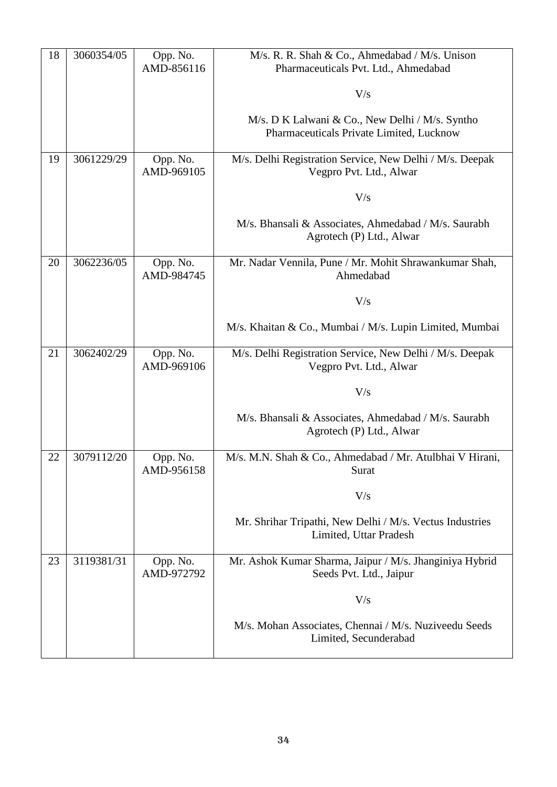| 18 | 3060354/05 | Opp. No.<br>AMD-856116 | M/s. R. R. Shah & Co., Ahmedabad / M/s. Unison                                      |
|----|------------|------------------------|-------------------------------------------------------------------------------------|
|    |            |                        | Pharmaceuticals Pvt. Ltd., Ahmedabad                                                |
|    |            |                        | V/s                                                                                 |
|    |            |                        | M/s. D K Lalwani & Co., New Delhi / M/s. Syntho                                     |
|    |            |                        | Pharmaceuticals Private Limited, Lucknow                                            |
| 19 | 3061229/29 | Opp. No.               | M/s. Delhi Registration Service, New Delhi / M/s. Deepak                            |
|    |            | AMD-969105             | Vegpro Pvt. Ltd., Alwar                                                             |
|    |            |                        | V/s                                                                                 |
|    |            |                        | M/s. Bhansali & Associates, Ahmedabad / M/s. Saurabh<br>Agrotech (P) Ltd., Alwar    |
| 20 | 3062236/05 | Opp. No.               | Mr. Nadar Vennila, Pune / Mr. Mohit Shrawankumar Shah,                              |
|    |            | AMD-984745             | Ahmedabad                                                                           |
|    |            |                        | V/s                                                                                 |
|    |            |                        | M/s. Khaitan & Co., Mumbai / M/s. Lupin Limited, Mumbai                             |
| 21 | 3062402/29 | Opp. No.<br>AMD-969106 | M/s. Delhi Registration Service, New Delhi / M/s. Deepak<br>Vegpro Pvt. Ltd., Alwar |
|    |            |                        | V/s                                                                                 |
|    |            |                        | M/s. Bhansali & Associates, Ahmedabad / M/s. Saurabh<br>Agrotech (P) Ltd., Alwar    |
| 22 | 3079112/20 | Opp. No.<br>AMD-956158 | M/s. M.N. Shah & Co., Ahmedabad / Mr. Atulbhai V Hirani,<br>Surat                   |
|    |            |                        | V/s                                                                                 |
|    |            |                        | Mr. Shrihar Tripathi, New Delhi / M/s. Vectus Industries<br>Limited, Uttar Pradesh  |
| 23 | 3119381/31 | Opp. No.<br>AMD-972792 | Mr. Ashok Kumar Sharma, Jaipur / M/s. Jhanginiya Hybrid<br>Seeds Pvt. Ltd., Jaipur  |
|    |            |                        | V/s                                                                                 |
|    |            |                        | M/s. Mohan Associates, Chennai / M/s. Nuziveedu Seeds<br>Limited, Secunderabad      |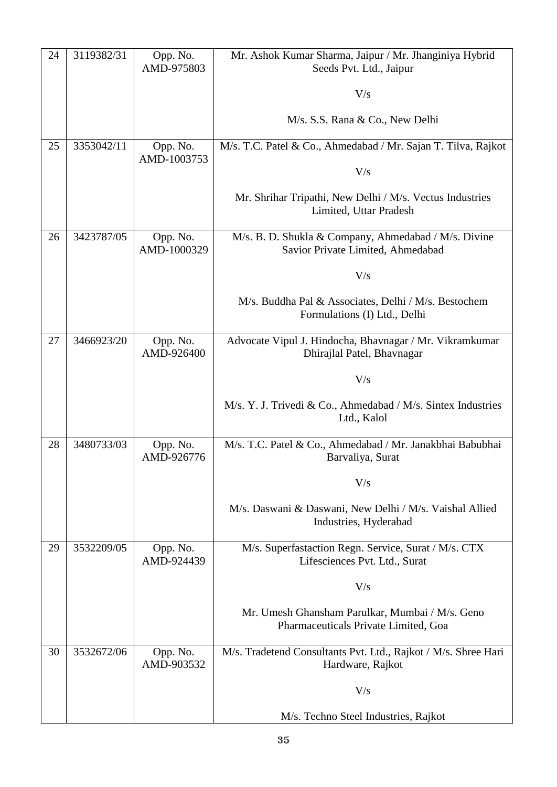| 24 | 3119382/31 | Opp. No.<br>AMD-975803  | Mr. Ashok Kumar Sharma, Jaipur / Mr. Jhanginiya Hybrid<br>Seeds Pvt. Ltd., Jaipur         |
|----|------------|-------------------------|-------------------------------------------------------------------------------------------|
|    |            |                         | V/s                                                                                       |
|    |            |                         |                                                                                           |
|    |            |                         | M/s. S.S. Rana & Co., New Delhi                                                           |
| 25 | 3353042/11 | Opp. No.<br>AMD-1003753 | M/s. T.C. Patel & Co., Ahmedabad / Mr. Sajan T. Tilva, Rajkot                             |
|    |            |                         | V/s                                                                                       |
|    |            |                         | Mr. Shrihar Tripathi, New Delhi / M/s. Vectus Industries<br>Limited, Uttar Pradesh        |
| 26 | 3423787/05 | Opp. No.<br>AMD-1000329 | M/s. B. D. Shukla & Company, Ahmedabad / M/s. Divine<br>Savior Private Limited, Ahmedabad |
|    |            |                         | V/s                                                                                       |
|    |            |                         | M/s. Buddha Pal & Associates, Delhi / M/s. Bestochem<br>Formulations (I) Ltd., Delhi      |
| 27 | 3466923/20 | Opp. No.<br>AMD-926400  | Advocate Vipul J. Hindocha, Bhavnagar / Mr. Vikramkumar<br>Dhirajlal Patel, Bhavnagar     |
|    |            |                         | V/s                                                                                       |
|    |            |                         | M/s. Y. J. Trivedi & Co., Ahmedabad / M/s. Sintex Industries<br>Ltd., Kalol               |
| 28 | 3480733/03 | Opp. No.<br>AMD-926776  | M/s. T.C. Patel & Co., Ahmedabad / Mr. Janakbhai Babubhai<br>Barvaliya, Surat             |
|    |            |                         | V/s                                                                                       |
|    |            |                         | M/s. Daswani & Daswani, New Delhi / M/s. Vaishal Allied<br>Industries, Hyderabad          |
| 29 | 3532209/05 | Opp. No.<br>AMD-924439  | M/s. Superfastaction Regn. Service, Surat / M/s. CTX<br>Lifesciences Pvt. Ltd., Surat     |
|    |            |                         | V/s                                                                                       |
|    |            |                         | Mr. Umesh Ghansham Parulkar, Mumbai / M/s. Geno<br>Pharmaceuticals Private Limited, Goa   |
| 30 | 3532672/06 | Opp. No.<br>AMD-903532  | M/s. Tradetend Consultants Pvt. Ltd., Rajkot / M/s. Shree Hari<br>Hardware, Rajkot        |
|    |            |                         | V/s                                                                                       |
|    |            |                         | M/s. Techno Steel Industries, Rajkot                                                      |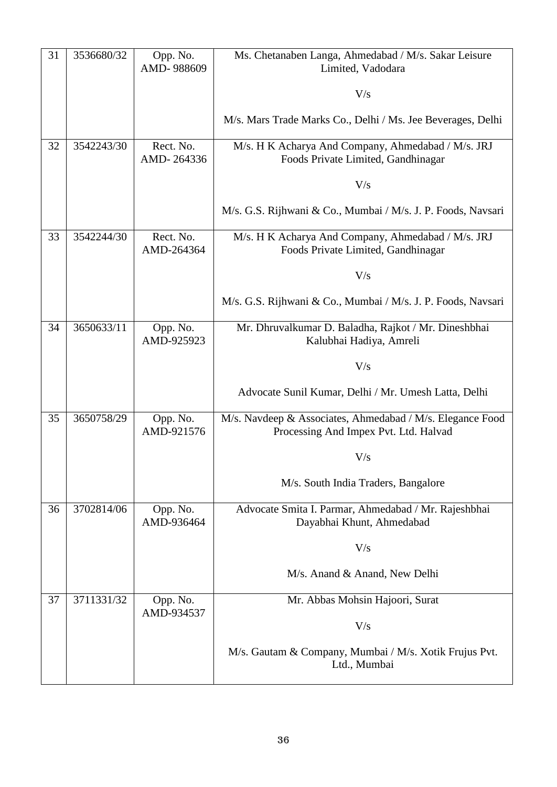| 31 | 3536680/32 | Opp. No.<br>AMD-988609  | Ms. Chetanaben Langa, Ahmedabad / M/s. Sakar Leisure<br>Limited, Vadodara                          |
|----|------------|-------------------------|----------------------------------------------------------------------------------------------------|
|    |            |                         | V/s                                                                                                |
|    |            |                         |                                                                                                    |
|    |            |                         | M/s. Mars Trade Marks Co., Delhi / Ms. Jee Beverages, Delhi                                        |
| 32 | 3542243/30 | Rect. No.<br>AMD-264336 | M/s. H K Acharya And Company, Ahmedabad / M/s. JRJ<br>Foods Private Limited, Gandhinagar           |
|    |            |                         | V/s                                                                                                |
|    |            |                         | M/s. G.S. Rijhwani & Co., Mumbai / M/s. J. P. Foods, Navsari                                       |
| 33 | 3542244/30 | Rect. No.<br>AMD-264364 | M/s. H K Acharya And Company, Ahmedabad / M/s. JRJ<br>Foods Private Limited, Gandhinagar           |
|    |            |                         | V/s                                                                                                |
|    |            |                         | M/s. G.S. Rijhwani & Co., Mumbai / M/s. J. P. Foods, Navsari                                       |
| 34 | 3650633/11 | Opp. No.<br>AMD-925923  | Mr. Dhruvalkumar D. Baladha, Rajkot / Mr. Dineshbhai<br>Kalubhai Hadiya, Amreli                    |
|    |            |                         | V/s                                                                                                |
|    |            |                         | Advocate Sunil Kumar, Delhi / Mr. Umesh Latta, Delhi                                               |
| 35 | 3650758/29 | Opp. No.<br>AMD-921576  | M/s. Navdeep & Associates, Ahmedabad / M/s. Elegance Food<br>Processing And Impex Pvt. Ltd. Halvad |
|    |            |                         | V/s                                                                                                |
|    |            |                         | M/s. South India Traders, Bangalore                                                                |
| 36 | 3702814/06 | Opp. No.<br>AMD-936464  | Advocate Smita I. Parmar, Ahmedabad / Mr. Rajeshbhai<br>Dayabhai Khunt, Ahmedabad                  |
|    |            |                         | V/s                                                                                                |
|    |            |                         | M/s. Anand & Anand, New Delhi                                                                      |
| 37 | 3711331/32 | Opp. No.<br>AMD-934537  | Mr. Abbas Mohsin Hajoori, Surat                                                                    |
|    |            |                         | V/s                                                                                                |
|    |            |                         | M/s. Gautam & Company, Mumbai / M/s. Xotik Frujus Pvt.<br>Ltd., Mumbai                             |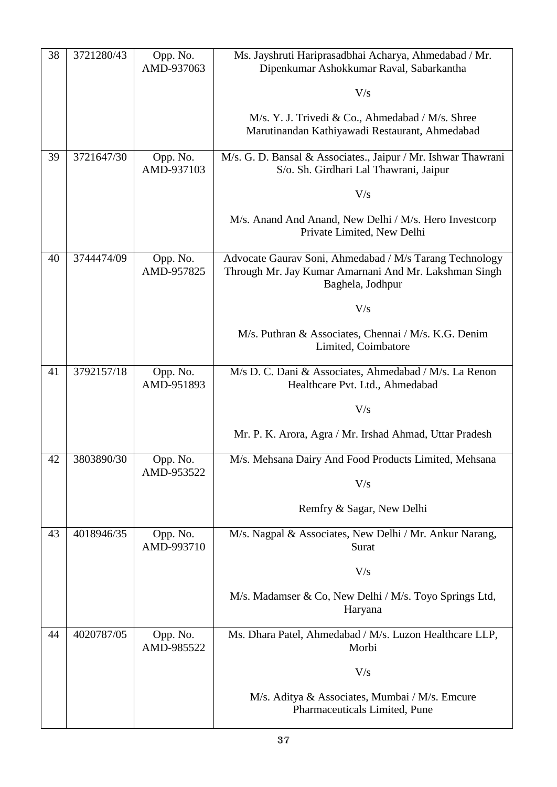| 38 | 3721280/43 | Opp. No.<br>AMD-937063 | Ms. Jayshruti Hariprasadbhai Acharya, Ahmedabad / Mr.<br>Dipenkumar Ashokkumar Raval, Sabarkantha                                    |
|----|------------|------------------------|--------------------------------------------------------------------------------------------------------------------------------------|
|    |            |                        | V/s                                                                                                                                  |
|    |            |                        | M/s. Y. J. Trivedi & Co., Ahmedabad / M/s. Shree<br>Marutinandan Kathiyawadi Restaurant, Ahmedabad                                   |
| 39 | 3721647/30 | Opp. No.<br>AMD-937103 | M/s. G. D. Bansal & Associates., Jaipur / Mr. Ishwar Thawrani<br>S/o. Sh. Girdhari Lal Thawrani, Jaipur                              |
|    |            |                        | V/s                                                                                                                                  |
|    |            |                        | M/s. Anand And Anand, New Delhi / M/s. Hero Investcorp<br>Private Limited, New Delhi                                                 |
| 40 | 3744474/09 | Opp. No.<br>AMD-957825 | Advocate Gaurav Soni, Ahmedabad / M/s Tarang Technology<br>Through Mr. Jay Kumar Amarnani And Mr. Lakshman Singh<br>Baghela, Jodhpur |
|    |            |                        | V/s                                                                                                                                  |
|    |            |                        | M/s. Puthran & Associates, Chennai / M/s. K.G. Denim<br>Limited, Coimbatore                                                          |
| 41 | 3792157/18 | Opp. No.<br>AMD-951893 | M/s D. C. Dani & Associates, Ahmedabad / M/s. La Renon<br>Healthcare Pvt. Ltd., Ahmedabad                                            |
|    |            |                        | V/s                                                                                                                                  |
|    |            |                        | Mr. P. K. Arora, Agra / Mr. Irshad Ahmad, Uttar Pradesh                                                                              |
| 42 | 3803890/30 | Opp. No.<br>AMD-953522 | M/s. Mehsana Dairy And Food Products Limited, Mehsana                                                                                |
|    |            |                        | V/s                                                                                                                                  |
|    |            |                        | Remfry & Sagar, New Delhi                                                                                                            |
| 43 | 4018946/35 | Opp. No.<br>AMD-993710 | M/s. Nagpal & Associates, New Delhi / Mr. Ankur Narang,<br>Surat                                                                     |
|    |            |                        | V/s                                                                                                                                  |
|    |            |                        | M/s. Madamser & Co, New Delhi / M/s. Toyo Springs Ltd,<br>Haryana                                                                    |
| 44 | 4020787/05 | Opp. No.<br>AMD-985522 | Ms. Dhara Patel, Ahmedabad / M/s. Luzon Healthcare LLP,<br>Morbi                                                                     |
|    |            |                        | V/s                                                                                                                                  |
|    |            |                        | M/s. Aditya & Associates, Mumbai / M/s. Emcure<br>Pharmaceuticals Limited, Pune                                                      |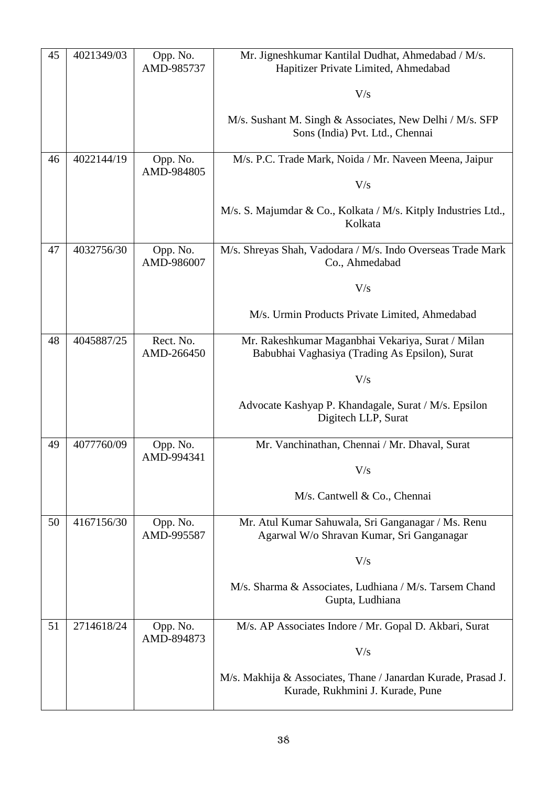| 45 | 4021349/03 | Opp. No.<br>AMD-985737  | Mr. Jigneshkumar Kantilal Dudhat, Ahmedabad / M/s.<br>Hapitizer Private Limited, Ahmedabad          |
|----|------------|-------------------------|-----------------------------------------------------------------------------------------------------|
|    |            |                         | V/s                                                                                                 |
|    |            |                         | M/s. Sushant M. Singh & Associates, New Delhi / M/s. SFP<br>Sons (India) Pvt. Ltd., Chennai         |
| 46 | 4022144/19 | Opp. No.<br>AMD-984805  | M/s. P.C. Trade Mark, Noida / Mr. Naveen Meena, Jaipur                                              |
|    |            |                         | V/s                                                                                                 |
|    |            |                         | M/s. S. Majumdar & Co., Kolkata / M/s. Kitply Industries Ltd.,<br>Kolkata                           |
| 47 | 4032756/30 | Opp. No.<br>AMD-986007  | M/s. Shreyas Shah, Vadodara / M/s. Indo Overseas Trade Mark<br>Co., Ahmedabad                       |
|    |            |                         | V/s                                                                                                 |
|    |            |                         | M/s. Urmin Products Private Limited, Ahmedabad                                                      |
| 48 | 4045887/25 | Rect. No.<br>AMD-266450 | Mr. Rakeshkumar Maganbhai Vekariya, Surat / Milan<br>Babubhai Vaghasiya (Trading As Epsilon), Surat |
|    |            |                         | V/s                                                                                                 |
|    |            |                         | Advocate Kashyap P. Khandagale, Surat / M/s. Epsilon<br>Digitech LLP, Surat                         |
| 49 | 4077760/09 | Opp. No.<br>AMD-994341  | Mr. Vanchinathan, Chennai / Mr. Dhaval, Surat                                                       |
|    |            |                         | V/s                                                                                                 |
|    |            |                         | M/s. Cantwell & Co., Chennai                                                                        |
| 50 | 4167156/30 | Opp. No.<br>AMD-995587  | Mr. Atul Kumar Sahuwala, Sri Ganganagar / Ms. Renu<br>Agarwal W/o Shravan Kumar, Sri Ganganagar     |
|    |            |                         | V/s                                                                                                 |
|    |            |                         | M/s. Sharma & Associates, Ludhiana / M/s. Tarsem Chand<br>Gupta, Ludhiana                           |
| 51 | 2714618/24 | Opp. No.                | M/s. AP Associates Indore / Mr. Gopal D. Akbari, Surat                                              |
|    |            | AMD-894873              | V/s                                                                                                 |
|    |            |                         | M/s. Makhija & Associates, Thane / Janardan Kurade, Prasad J.<br>Kurade, Rukhmini J. Kurade, Pune   |